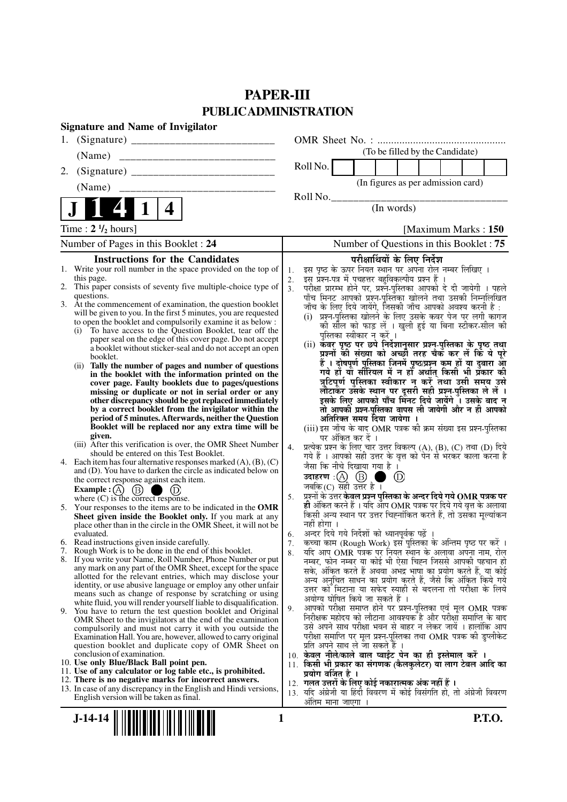## **PAPER-III PUBLIC ADMINISTRATION**

| <b>Signature and Name of Invigilator</b>                                                                                          |                                                                                                                                                       |
|-----------------------------------------------------------------------------------------------------------------------------------|-------------------------------------------------------------------------------------------------------------------------------------------------------|
| 1.                                                                                                                                |                                                                                                                                                       |
| (Name)                                                                                                                            | (To be filled by the Candidate)                                                                                                                       |
| 2.                                                                                                                                | Roll No.                                                                                                                                              |
| (Name)                                                                                                                            | (In figures as per admission card)                                                                                                                    |
|                                                                                                                                   | Roll No.                                                                                                                                              |
| 4                                                                                                                                 | (In words)                                                                                                                                            |
| Time : $2 \frac{1}{2}$ hours]                                                                                                     | [Maximum Marks: 150]                                                                                                                                  |
| Number of Pages in this Booklet : 24                                                                                              | Number of Questions in this Booklet: 75                                                                                                               |
| <b>Instructions for the Candidates</b>                                                                                            | परीक्षार्थियों के लिए निर्देश                                                                                                                         |
| 1. Write your roll number in the space provided on the top of                                                                     | इस पृष्ठ के ऊपर नियत स्थान पर अपना रोल नम्बर लिखिए ।<br>1.                                                                                            |
| this page.<br>2. This paper consists of seventy five multiple-choice type of                                                      | इस प्रश्न-पत्र में पचहत्तर बहुविकल्पीय प्रश्न हैं ।<br>2.<br>3 <sub>1</sub><br>परीक्षा प्रारम्भ होने पर, प्रश्न-पुस्तिका आपको दे दी जायेगी । पहले     |
| questions.                                                                                                                        | पाँच मिनट आपको प्रश्न-पुस्तिका खोलने तथा उसकी निम्नलिखित                                                                                              |
| 3. At the commencement of examination, the question booklet<br>will be given to you. In the first 5 minutes, you are requested    | जाँच के लिए दिये जायेंगे, जिसकी जाँच आपको अवश्य करनी है :                                                                                             |
| to open the booklet and compulsorily examine it as below :                                                                        | (i)  प्रश्न-पुस्तिका खोलने के लिए उसके कवर पेज पर लगी कागज<br>की सील को फाड़ लें । खुली हुई या बिना स्टीकर-सील की                                     |
| To have access to the Question Booklet, tear off the<br>(i)                                                                       | पुस्तिका स्वीकार न करें ।                                                                                                                             |
| paper seal on the edge of this cover page. Do not accept<br>a booklet without sticker-seal and do not accept an open              | (ii) कवर पृष्ठ पर छपे निर्देशानुसार प्रश्न-पुस्तिका के पृष्ठ तथा                                                                                      |
| booklet.                                                                                                                          | प्रश्नों की संख्या को अच्छी तरह चैक कर लें कि ये पूरे                                                                                                 |
| (ii) Tally the number of pages and number of questions                                                                            | हैं । दोषपूर्ण पुस्तिका जि़नमें पृष्ठ/प्रश्न कम हों या दुबारा आूँ<br>गये हों यो सीरियल में न हों अर्थात् किसी भी प्रकार की                            |
| in the booklet with the information printed on the<br>cover page. Faulty booklets due to pages/questions                          | त्रुटिपूर्ण पुस्तिका स्वीकार न करें तथा उसी समय उसे                                                                                                   |
| missing or duplicate or not in serial order or any                                                                                | लौटाकेंर उसके स्थान पर दूसरी सही प्रश्न-पुस्तिका ले लें ।                                                                                             |
| other discrepancy should be got replaced immediately<br>by a correct booklet from the invigilator within the                      | इसके लिए आपको पाँच मिंनट दिये जायेंगे ँ। उसके बाद न<br>तो आपकी प्रश्न-पुस्तिका वापस ली जायेगी और न ही आपको                                            |
| period of 5 minutes. Afterwards, neither the Question                                                                             | अतिरिक्त समय दिया जायेगा ।                                                                                                                            |
| Booklet will be replaced nor any extra time will be                                                                               | (iii) इस जाँच के बाद OMR पत्रक की क्रम संख्या इस प्रश्न-पुस्तिका                                                                                      |
| given.<br>(iii) After this verification is over, the OMR Sheet Number                                                             | पर अंकित कर दें ।                                                                                                                                     |
| should be entered on this Test Booklet.                                                                                           | प्रत्येक प्रश्न के लिए चार उत्तर विकल्प (A), (B), (C) तथा (D) दिये<br>4.<br>गये हैं । आपको सही उत्तर के वृत्त को पेन से भरकर काला करना है             |
| 4. Each item has four alternative responses marked $(A)$ , $(B)$ , $(C)$                                                          | जैसा कि नीचे दिखाया गया है।                                                                                                                           |
| and (D). You have to darken the circle as indicated below on<br>the correct response against each item.                           | उदाहरण: $\textcircled{A}$ $\textcircled{B}$<br>(D)                                                                                                    |
| <b>Example</b> : $(A)$<br><b>Example :</b> (A) $\bigoplus$ $\bigoplus$ $\bigoplus$ $\bigoplus$ subseted response.                 | जबकि $(C)$ सही उत्तर है।                                                                                                                              |
|                                                                                                                                   | प्रश्नों के उत्तर <b>केवल प्रश्न पुस्तिका के अन्दर दिये गये OMR पत्रक पर</b><br>5.<br>ही अंकित करने हैं । यदि ऑप OMR पत्रक पर दिये गये वृत्त के अलावा |
| 5. Your responses to the items are to be indicated in the OMR<br>Sheet given inside the Booklet only. If you mark at any          | किसी अन्य स्थान पर उत्तर चिह्नांकित करते हैं, तो उसका मूल्यांकन                                                                                       |
| place other than in the circle in the OMR Sheet, it will not be                                                                   | नहीं होगा ।                                                                                                                                           |
| evaluated.                                                                                                                        | अन्दर दिये गये निर्देशों को ध्यानपूर्वक पढ़ें<br>6.                                                                                                   |
| 6. Read instructions given inside carefully.<br>7. Rough Work is to be done in the end of this booklet.                           | कच्चा काम (Rough Work) इस पुस्तिका के अन्तिम पृष्ठ पर करें ।<br>7.<br>यदि आप OMR पत्रक पर नियत स्थान के अलावा अपना नाम, रोल<br>8.                     |
| 8. If you write your Name, Roll Number, Phone Number or put                                                                       | नम्बर, फोन नम्बर या कोई भी ऐसा चिह्न जिससे आपकी पहचान हो                                                                                              |
| any mark on any part of the OMR Sheet, except for the space<br>allotted for the relevant entries, which may disclose your         | सके, अंकित करते हैं अथवा अभद्र भाषा का प्रयोग करते हैं, या कोई                                                                                        |
| identity, or use abusive language or employ any other unfair                                                                      | अन्य अनुचित साधन का प्रयोग करते हैं, जैसे कि अंकित किये गये<br>उत्तर को मिटाना या सफेद स्याही से बदलना तो परीक्षा के लिये                             |
| means such as change of response by scratching or using                                                                           | अयोग्य घोषित किये जा सकते हैं ।                                                                                                                       |
| white fluid, you will render yourself liable to disqualification.<br>9. You have to return the test question booklet and Original | आपको परीक्षा समाप्त होने पर प्रश्न-पुस्तिका एवं मूल OMR पत्रक<br>9.                                                                                   |
| OMR Sheet to the invigilators at the end of the examination                                                                       | निरीक्षक महोदय को लौटाना आवश्यक है और परीक्षा समाप्ति के बाद                                                                                          |
| compulsorily and must not carry it with you outside the                                                                           | उसे अपने साथ परीक्षा भवन से बाहर न लेकर जायें । हालांकि आप<br>परीक्षा समाप्ति पर मूल प्रश्न-पुस्तिका तथा OMR पत्रक की डुप्लीकेट                       |
| Examination Hall. You are, however, allowed to carry original<br>question booklet and duplicate copy of OMR Sheet on              | प्रति अपने साथ ले जा सकते हैं ।                                                                                                                       |
| conclusion of examination.                                                                                                        | 10. केवल नीले/काले बाल प्वाईंट पेन का ही इस्तेमाल करें ।                                                                                              |
| 10. Use only Blue/Black Ball point pen.<br>11. Use of any calculator or log table etc., is prohibited.                            | 11. किसी भी प्रकार का संगणक (कैलकुलेटर) या लाग टेबल आदि का                                                                                            |
| 12. There is no negative marks for incorrect answers.                                                                             | प्रयोग वर्जित है ।<br>12. गलत उत्तरों के लिए कोई नकारात्मक अंक नहीं हैं ।                                                                             |
| 13. In case of any discrepancy in the English and Hindi versions,                                                                 | 13. यदि अंग्रेजी या हिंदी विवरण में कोई विसंगति हो, तो अंग्रेजी विवरण                                                                                 |
| English version will be taken as final.                                                                                           | अंतिम माना जाएगा                                                                                                                                      |
| $J-14-14$<br>1                                                                                                                    | P.T.O.                                                                                                                                                |
|                                                                                                                                   |                                                                                                                                                       |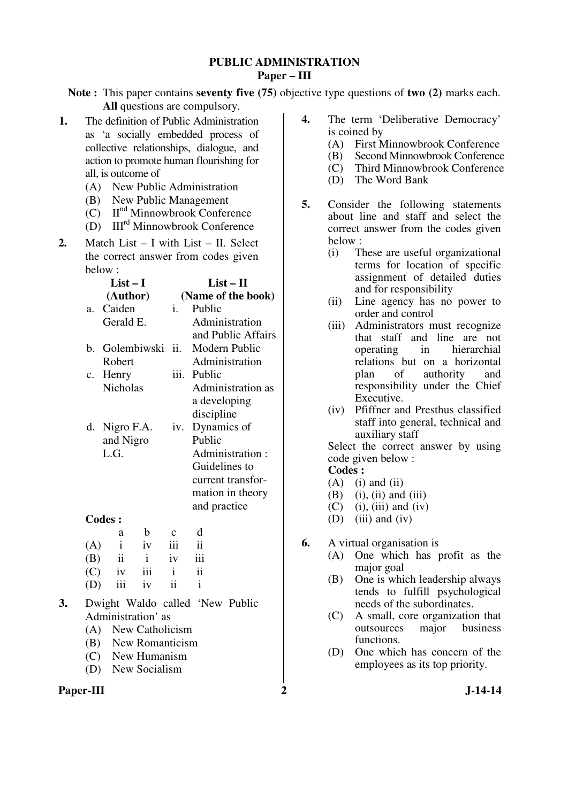#### **PUBLIC ADMINISTRATION Paper – III**

**Note :** This paper contains **seventy five (75)** objective type questions of **two (2)** marks each. **All** questions are compulsory.

- **1.** The definition of Public Administration as 'a socially embedded process of collective relationships, dialogue, and action to promote human flourishing for all, is outcome of
	- (A) New Public Administration
	- (B) New Public Management
	- (C) IInd Minnowbrook Conference
	- (D) IIIrd Minnowbrook Conference
- **2.** Match List I with List II. Select the correct answer from codes given below :

|             | List $-1$       |              | $List - II$    |                    |  |  |
|-------------|-----------------|--------------|----------------|--------------------|--|--|
|             | (Author)        |              |                | (Name of the book) |  |  |
| a.          | Caiden          |              | $\mathbf{i}$ . | Public             |  |  |
|             | Gerald E.       |              |                | Administration     |  |  |
|             |                 |              |                | and Public Affairs |  |  |
| $h_{-}$     |                 | Golembiwski  | ii.            | Modern Public      |  |  |
|             | Robert          |              |                | Administration     |  |  |
| $c_{\cdot}$ | Henry           |              |                | iii. Public        |  |  |
|             | <b>Nicholas</b> |              |                | Administration as  |  |  |
|             |                 |              |                | a developing       |  |  |
|             |                 |              |                | discipline         |  |  |
| d.          | Nigro F.A.      |              | iv.            | Dynamics of        |  |  |
|             | and Nigro       |              |                | Public             |  |  |
|             | L.G.            |              |                | Administration:    |  |  |
|             |                 |              |                | Guidelines to      |  |  |
|             |                 |              |                | current transfor-  |  |  |
|             |                 |              |                | mation in theory   |  |  |
|             |                 |              |                | and practice       |  |  |
|             | <b>Codes:</b>   |              |                |                    |  |  |
|             | a               | b            | $\mathbf{C}$   | d                  |  |  |
| (A)         | $\mathbf{i}$    | iv           | iii            | ii                 |  |  |
| (B)         | $\ddot{i}$      | $\mathbf{i}$ | iv             | iii                |  |  |
| (C)         | iv              | iii          | $\mathbf{i}$   | ii                 |  |  |
|             | iii             | iv           | ii             | $\mathbf{i}$       |  |  |

- **3.** Dwight Waldo called 'New Public Administration' as
	- (A) New Catholicism
	- (B) New Romanticism
	- (C) New Humanism
	- (D) New Socialism



- **4.** The term 'Deliberative Democracy' is coined by
	- (A) First Minnowbrook Conference
	- (B) Second Minnowbrook Conference
	- (C) Third Minnowbrook Conference
	- (D) The Word Bank
- **5.** Consider the following statements about line and staff and select the correct answer from the codes given below :
	- (i) These are useful organizational terms for location of specific assignment of detailed duties and for responsibility
	- (ii) Line agency has no power to order and control
	- (iii) Administrators must recognize that staff and line are not operating in hierarchial relations but on a horizontal plan of authority and responsibility under the Chief Executive.
	- (iv) Pfiffner and Presthus classified staff into general, technical and auxiliary staff

 Select the correct answer by using code given below :

- $(A)$  (i) and (ii)
- $(B)$  (i), (ii) and (iii)
- $(C)$  (i), (iii) and (iv)
- (D) (iii) and (iv)
- **6.** A virtual organisation is
	- (A) One which has profit as the major goal
	- (B) One is which leadership always tends to fulfill psychological needs of the subordinates.
	- (C) A small, core organization that outsources major business functions.
	- (D) One which has concern of the employees as its top priority.
		-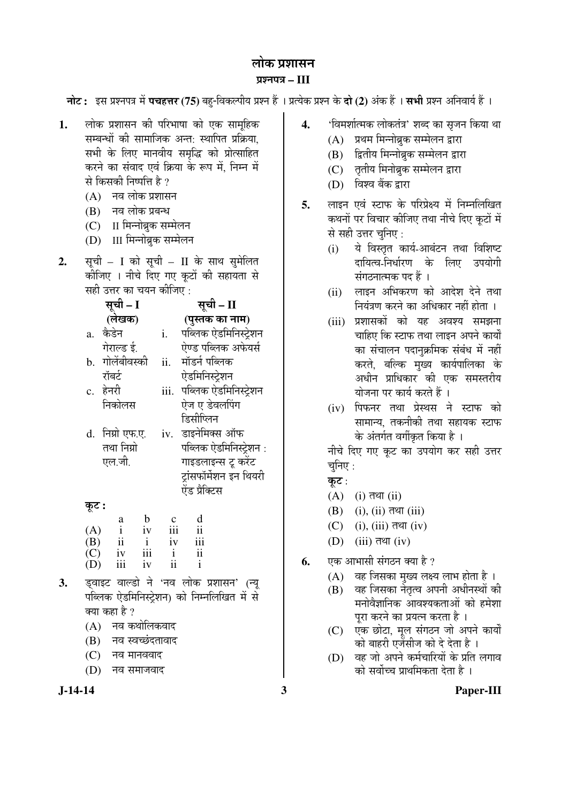## लोक प्रशासन ¯ÖÏ¿®Ö¯Ö¡Ö **– III**

**नोट:** इस प्रश्नपत्र में **पचहत्तर (75)** बहु-विकल्पीय प्रश्न हैं । प्रत्येक प्रश्न के **दो (2)** अंक हैं । **सभी** प्रश्न अनिवार्य हैं ।

- 1. लोक प्रशासन की परिभाषा को एक सामहिक सम्बन्धों की सामाजिक अन्त: स्थापित प्रक्रिया, सभी के लिए मानवीय समृद्धि को प्रोत्साहित करने का संवाद एवं क्रिया के रूप में, निम्न में से किसकी निष्पत्ति है ?
	- $(A)$  नव लोक प्रशासन
	- $(B)$  नव लोक प्रबन्ध
	- (C) II मिन्नोब्रुक सम्मेलन
	- (D) III मिन्नोब्रुक सम्मेलन
- 2. सूची I को सूची II के साथ सुमेलित कीजिए । नीचे दिए गए कटों की सहायता से सही उत्तर का चयन कीजिए :

|       | सूची – I        |      | सूची – II               |
|-------|-----------------|------|-------------------------|
|       | (लेखक)          |      | (पुस्तक का नाम)         |
|       | a. कैडेन        | i.   | पब्लिक ऐडमिनिस्ट्रेशन   |
|       | गेराल्ड ई.      |      | ऐण्ड पब्लिक अफेयर्स     |
|       | b. गोलेंबीवस्की | ii.  | मॉडर्न पब्लिक           |
|       | रॉबर्ट          |      | ऐडमिनिस्ट्रेशन          |
|       | c. हेनरी        | iii. | पब्लिक ऐडमिनिस्ट्रेशन   |
|       | निकोलस          |      | ऐज ए डेवलपिंग           |
|       |                 |      | डिसीप्लिन               |
|       | d. निग्रो एफ.ए. |      | iv. डाइनेमिक्स ऑफ       |
|       | तथा निग्रो      |      | पब्लिक ऐडमिनिस्ट्रेशन : |
|       | एल.जी.          |      | गाइडलाइन्स टू करेंट     |
|       |                 |      | ट्रांसफॉर्मेशन इन थियरी |
|       |                 |      | ऐंड प्रैक्टिस           |
| જૂ૮ : |                 |      |                         |

| $\tilde{}$ | a            | h   | Ċ   | d   |
|------------|--------------|-----|-----|-----|
| (A)        | $\mathbf{i}$ | iv  | 111 | ii  |
| (B)        | ii           |     | iv  | iii |
| (C)        | iv           | iii |     | ii  |
| (D)        | iii          | iv  | ii  |     |

- **3.** ›Ëü¾ÖÖ‡™ü ¾ÖÖ»›üÖê ®Öê '®Ö¾Ö »ÖÖêÛú ¯ÖÏ¿ÖÖÃÖ®Ö' (®µÖæ पब्लिक ऐडमिनिस्ट्रेशन) को निम्नलिखित में से क्या कहा है ?
	- $(A)$  नव कथोलिकवाद
	- (B) नव स्वच्छंदतावाद
	- $(C)$  नव मानववाद
	- $(D)$  नव समाजवाद
- **4.** '×¾Ö´Ö¿ÖÖÔŸ´ÖÛú »ÖÖêÛúŸÖÓ¡Ö' ¿Ö²¤ü ÛúÖ ÃÖé•Ö®Ö ×ÛúµÖÖ £ÖÖ
	- (A) प्रथम मिन्नोब्रुक सम्मेलन द्वारा
	- (B) हितीय मिन्नोब्रक सम्मेलन द्वारा
	- (C) तृतीय मिनोब्रुक सम्मेलन द्वारा
	- (D) विश्व बैंक द्वारा
- 5. लाइन एवं स्टाफ के परिप्रेक्ष्य में निम्नलिखित कथनों पर विचार कीजिए तथा नीचे दिए कूटों में से सही उत्तर चुनिए :
	- (i) ये विस्तृत कार्य-आबंटन तथा विशिष्ट दायित्व-निर्धारण के लिए उपयोगी संगठनात्मक पद हैं ।
	- (ii) लाइन अभिकरण को आदेश देने तथा नियंत्रण करने का अधिकार नहीं होता ।
	- (iii) प्रशासकों को यह अवश्य समझना चाहिए कि स्टाफ तथा लाइन अपने कार्यों का संचालन पदानुक्रमिक संबंध में नहीं करते, बल्कि मुख्य कार्यपालिका के अधीन प्राधिकार की एक समस्तरीय योजना पर कार्य करते हैं ।
	- (iv) पिफनर तथा प्रेस्थस ने स्टाफ को सामान्य, तकनीकी तथा सहायक स्टाफ के अंतर्गत वर्गीकृत किया है ।

नीचे दिए गए कूट का उपयोग कर सही उत्तर चुनिए $:$ 

- कुट $:$
- $(A)$  (i) तथा (ii)
- $(B)$  (i), (ii) तथा (iii)
- $(C)$  (i), (iii) तथा (iv)
- $(D)$  (iii) तथा (iv)
- **6.** •• एक आभासी संगठन क्या है ?
	- $(A)$  वह जिसका मुख्य लक्ष्य लाभ होता है।
	- $(B)$  वह जिसका नेतत्व अपनी अधीनस्थों की मनोवैज्ञानिक आवश्यकताओं को हमेशा परा करने का प्रयत्न करता है ।
	- (C) एक छोटा, मूल संगठन जो अपने कार्यों को बाहरी एजेंसीज को दे देता है ।
	- (D) वह जो अपने कर्मचारियों के प्रति लगाव को सर्वोच्च प्राथमिकता देता है ।

**J-14-14 3 Paper-III**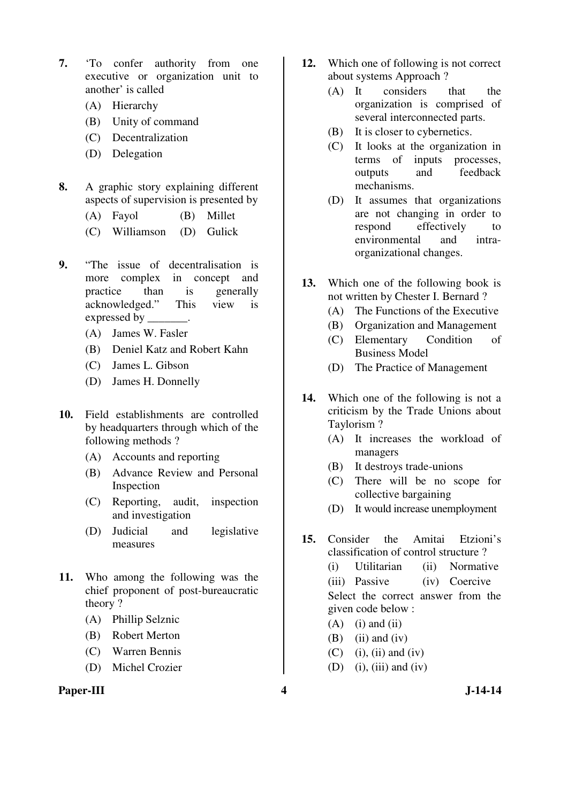- **7.** 'To confer authority from one executive or organization unit to another' is called
	- (A) Hierarchy
	- (B) Unity of command
	- (C) Decentralization
	- (D) Delegation
- **8.** A graphic story explaining different aspects of supervision is presented by
	- (A) Fayol (B) Millet
	- (C) Williamson (D) Gulick
- **9.** "The issue of decentralisation is more complex in concept and practice than is generally acknowledged." This view is expressed by \_\_\_\_\_\_\_\_.
	- (A) James W. Fasler
	- (B) Deniel Katz and Robert Kahn
	- (C) James L. Gibson
	- (D) James H. Donnelly
- **10.** Field establishments are controlled by headquarters through which of the following methods ?
	- (A) Accounts and reporting
	- (B) Advance Review and Personal Inspection
	- (C) Reporting, audit, inspection and investigation
	- (D) Judicial and legislative measures
- **11.** Who among the following was the chief proponent of post-bureaucratic theory ?
	- (A) Phillip Selznic
	- (B) Robert Merton
	- (C) Warren Bennis
	- (D) Michel Crozier
- **12.** Which one of following is not correct about systems Approach ?
	- (A) It considers that the organization is comprised of several interconnected parts.
	- (B) It is closer to cybernetics.
	- (C) It looks at the organization in terms of inputs processes, outputs and feedback mechanisms.
	- (D) It assumes that organizations are not changing in order to respond effectively to environmental and intraorganizational changes.
- **13.** Which one of the following book is not written by Chester I. Bernard ?
	- (A) The Functions of the Executive
	- (B) Organization and Management
	- (C) Elementary Condition of Business Model
	- (D) The Practice of Management
- **14.** Which one of the following is not a criticism by the Trade Unions about Taylorism ?
	- (A) It increases the workload of managers
	- (B) It destroys trade-unions
	- (C) There will be no scope for collective bargaining
	- (D) It would increase unemployment
- **15.** Consider the Amitai Etzioni's classification of control structure ?
	- (i) Utilitarian (ii) Normative (iii) Passive (iv) Coercive Select the correct answer from the given code below :
	- $(A)$  (i) and (ii)
	- $(B)$  (ii) and (iv)
	- $(C)$  (i), (ii) and (iv)
	- (D) (i), (iii) and (iv)
-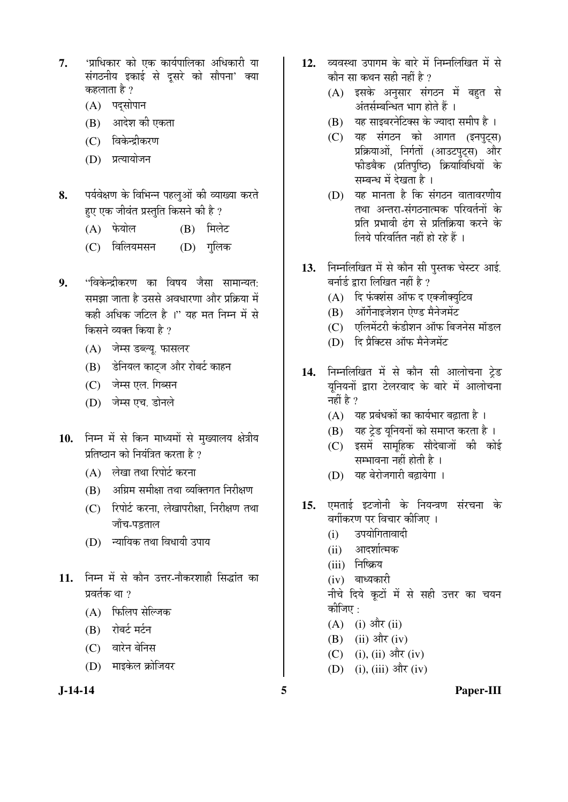- **7.** '¯ÖÏÖ׬ÖÛúÖ¸ü ÛúÖê ‹Ûú ÛúÖµÖÔ¯ÖÖ×»ÖÛúÖ †×¬ÖÛúÖ¸üß µÖÖ संगठनीय इकाई से दुसरे को सौपना' क्या कहलाता है ?
	- $(A)$  पदसोपान
	- (B) आदेश की एकता
	- $(C)$  विकेन्द्रीकरण
	- (D) प्रत्यायोजन
- 8. पर्यवेक्षण के विभिन्न पहलुओं की व्याख्या करते हए एक जीवंत प्रस्तुति किसने की है ?
	- (A) फेयोल (B) मिलेट
	- (C) विलियमसन (D) गलिक
- **9.** "विकेन्द्रीकरण का विषय जैसा सामान्यत: समझा जाता है उससे अवधारणा और प्रक्रिया में कही अधिक जटिल है ।" यह मत निम्न में से किसने व्यक्त किया है ?
	- (A) जेम्स डब्ल्यू. फासलर
	- (B) हेनियल काट्ज और रोबर्ट काहन
	- $(C)$  जेम्स एल. गिब्सन
	- (D) जेम्स एच. डोनले
- 10. निम्न में से किन माध्यमों से मुख्यालय क्षेत्रीय प्रतिष्ठान को नियंत्रित करता है ?
	- (A) लेखा तथा रिपोर्ट करना
	- $(B)$  अग्रिम समीक्षा तथा व्यक्तिगत निरीक्षण
	- (C) रिपोर्ट करना, लेखापरीक्षा, निरीक्षण तथा जाँच-पडताल
	- (D) न्यायिक तथा विधायी उपाय
- 11. निम्न में से कौन उत्तर-नौकरशाही सिद्धांत का प्रवर्तक था $\overline{2}$ 
	- (A) फिलिप सेल्जिक
	- (B) रोबर्ट मर्टन
	- (C) वारेन बेनिस
	- (D) माइकेल क्रोजियर

- 12. व्यवस्था उपागम के बारे में निम्नलिखित में से कौन सा कथन सही नहीं है ?
	- (A) इसके अनुसार संगठन में बहत से अंतर्सम्बन्धित भाग होते हैं ।
	- $(B)$  यह साइबरनेटिक्स के ज्यादा समीप है)।
	- (C) यह संगठन को आगत (इनपटस) प्रक्रियाओं, निर्गतों (आउटपुट्स) और फीडबैक (प्रतिपुष्ठि) क्रियाविधियों के सम्बन्ध में देखता है ।
	- $(D)$  यह मानता है कि संगठन वातावरणीय तथा अन्तरा-संगठनात्मक परिवर्तनों के प्रति प्रभावी ढंग से प्रतिक्रिया करने के लिये परिवर्तित नहीं हो रहे हैं ।
- 13. Fiमलिखित में से कौन सी पस्तक चेस्टर आई. बर्नार्ड द्वारा लिखित नहीं है ?
	- (A) दि फंक्शंस ऑफ द एक्जीक्युटिव
	- $(B)$  ऑर्गेनाइजेशन ऐण्ड मैनेजमेंट
	- (C) एलिमेंटरी कंडीशन ऑफ बिजनेस मॉडल
	- (D) हि प्रैक्टिस ऑफ मैनेजमेंट
- 14. निम्नलिखित में से कौन सी आलोचना ट्रेड यूनियनों द्वारा टेलरवाद के बारे में आलोचना नहीं है ?
	- $(A)$  यह प्रबंधकों का कार्यभार बढाता है ।
	- (B) यह ट्रेड यूनियनों को समाप्त करता है।
	- (C) इसमें सामहिक सौदेबाजों की कोई सम्भावना नहीं होती है ।
	- (D) यह बेरोजगारी बढायेगा ।
- 15. एमताई इटजोनी के नियन्त्रण संरचना के वर्गीकरण पर विचार कीजिए ।
	- $(i)$  उपयोगितावादी
	- $(ii)$  आदर्शात्मक
	- (iii) निष्क्रिय
	- $(iv)$  बाध्यकारी

नीचे दिये कूटों में से सही उत्तर का चयन कोजिए  $\cdot$ 

- $(A)$  (i) और (ii)
- (B) (ii) और (iv)
- $(C)$  (i), (ii) और (iv)
- $(D)$  (i), (iii) और (iv)
- 

**J-14-14 5 Paper-III**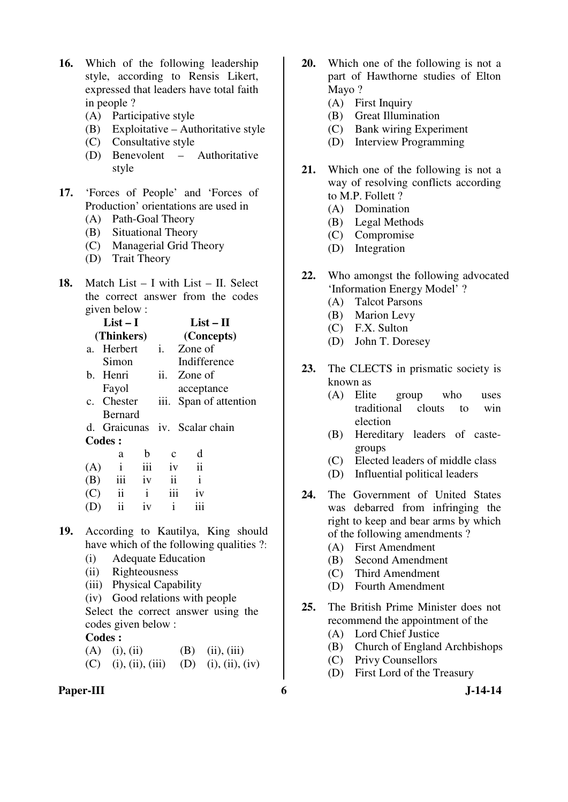- **16.** Which of the following leadership style, according to Rensis Likert, expressed that leaders have total faith in people ?
	- (A) Participative style
	- (B) Exploitative Authoritative style
	- (C) Consultative style
	- (D) Benevolent Authoritative style
- **17.** 'Forces of People' and 'Forces of Production' orientations are used in
	- (A) Path-Goal Theory
	- (B) Situational Theory
	- (C) Managerial Grid Theory
	- (D) Trait Theory
- **18.** Match List I with List II. Select the correct answer from the codes given below :

|     | $List-I$                      |     |             |                     | $List-II$ |  |  |  |
|-----|-------------------------------|-----|-------------|---------------------|-----------|--|--|--|
|     | (Thinkers)                    |     |             | (Concepts)          |           |  |  |  |
|     | a. Herbert                    |     | i.          | Zone of             |           |  |  |  |
|     | Simon                         |     |             | Indifference        |           |  |  |  |
|     | b. Henri                      |     |             | ii. Zone of         |           |  |  |  |
|     | Fayol                         |     |             | acceptance          |           |  |  |  |
|     | c. Chester                    |     | 111.        | Span of attention   |           |  |  |  |
|     | <b>Bernard</b>                |     |             |                     |           |  |  |  |
|     | d. Graicunas iv. Scalar chain |     |             |                     |           |  |  |  |
|     | <b>Codes:</b>                 |     |             |                     |           |  |  |  |
|     | a                             | b   | $\mathbf c$ | d                   |           |  |  |  |
| (A) | $\mathbf{i}$                  | iii | iv          | $\ddot{\mathbf{i}}$ |           |  |  |  |
|     | iii                           | iv  | ii          | i                   |           |  |  |  |
|     |                               |     |             |                     |           |  |  |  |

- (C) ii i iii iv
	- $(D)$  ii iv i iii
- **19.** According to Kautilya, King should have which of the following qualities ?:
	- (i) Adequate Education
	- (ii) Righteousness
	- (iii) Physical Capability
	- (iv) Good relations with people

 Select the correct answer using the codes given below :

## **Codes :**

(A) (i), (ii) (B) (ii), (iii) (C) (i), (ii), (iii) (D) (i), (ii), (iv)

**Paper-III** 6 J-14-14

- **20.** Which one of the following is not a part of Hawthorne studies of Elton Mayo ?
	- (A) First Inquiry
	- (B) Great Illumination
	- (C) Bank wiring Experiment
	- (D) Interview Programming
- **21.** Which one of the following is not a way of resolving conflicts according to M.P. Follett ?
	- (A) Domination
	- (B) Legal Methods
	- (C) Compromise
	- (D) Integration
- **22.** Who amongst the following advocated 'Information Energy Model' ?
	- (A) Talcot Parsons
	- (B) Marion Levy
	- (C) F.X. Sulton
	- (D) John T. Doresey
- **23.** The CLECTS in prismatic society is known as
	- (A) Elite group who uses traditional clouts to win election
	- (B) Hereditary leaders of castegroups
	- (C) Elected leaders of middle class
	- (D) Influential political leaders
- **24.** The Government of United States was debarred from infringing the right to keep and bear arms by which of the following amendments ?
	- (A) First Amendment
	- (B) Second Amendment
	- (C) Third Amendment
	- (D) Fourth Amendment
- **25.** The British Prime Minister does not recommend the appointment of the
	- (A) Lord Chief Justice
	- (B) Church of England Archbishops
	- (C) Privy Counsellors
	- (D) First Lord of the Treasury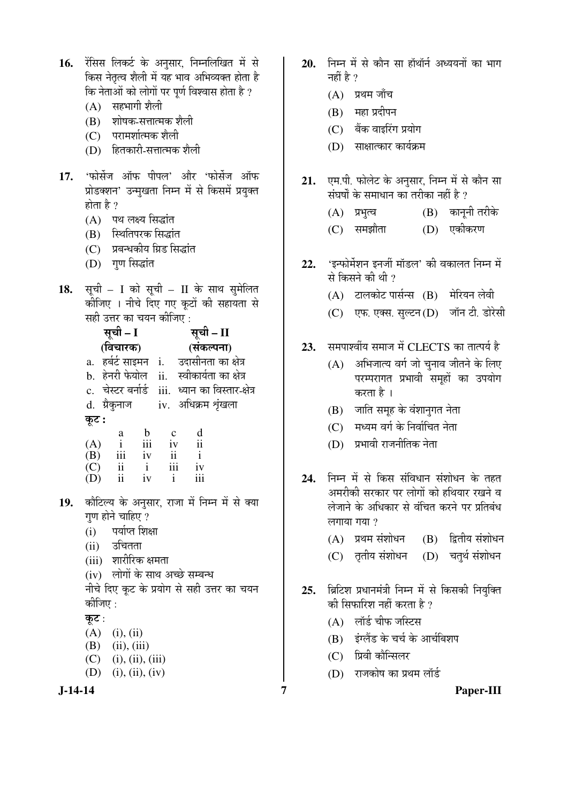| 16.       | रेंसिस लिकर्ट के अनुसार, निम्नलिखित में से<br>किस नेतृत्व शैली में यह भाव अभिव्यक्त होता है<br>कि नेताओं को लोगों पर पूर्ण विश्वास होता है ?<br>(A) सहभागी शैली<br>(B) शोषक-सत्तात्मक शैली<br>(C) परामर्शात्मक शैली<br>(D) हितकारी-सत्तात्मक शैली                                                                                                                                                                           | 20.        | निम्न में से कौन सा हॉथॉर्न अध्ययनों का भाग<br>नहीं है ?<br>प्रथम जाँच<br>(A)<br>महा प्रदीपन<br>(B)<br>(C) बैंक वाइरिंग प्रयोग<br>(D) साक्षात्कार कार्यक्रम                                                                                      |
|-----------|-----------------------------------------------------------------------------------------------------------------------------------------------------------------------------------------------------------------------------------------------------------------------------------------------------------------------------------------------------------------------------------------------------------------------------|------------|--------------------------------------------------------------------------------------------------------------------------------------------------------------------------------------------------------------------------------------------------|
| 17.       | 'फोर्सेज ऑफ पीपल' और 'फोर्सेज ऑफ<br>प्रोडक्शन' उन्मुखता निम्न में से किसमें प्रयुक्त<br>होता है ?<br>(A) पथ लक्ष्य सिद्धांत<br>(B) स्थितिपरक सिद्धांत<br>(C) प्रबन्धकीय ग्रिड सिद्धांत<br>(D) गुण सिद्धांत                                                                                                                                                                                                                  | 21.<br>22. | एम.पी. फोलेट के अनुसार, निम्न में से कौन सा<br>संघर्षों के समाधान का तरीका नहीं है ?<br>(B) कानूनी तरीके<br>(A) प्रभुत्व<br>(D) एकीकरण<br>(C) समझौता<br>'इन्फोर्मेशन इनर्जी मॉडल' की वकालत निम्न में                                             |
| 18.       | सूची - I को सूची - II के साथ सुमेलित<br>कीजिए । नीचे दिए गए कूटों की सहायता से<br>सही उत्तर का चयन कीजिए:                                                                                                                                                                                                                                                                                                                   |            | से किसने की थी ?<br>(A) टालकोट पार्सन्स (B) मेरियन लेवी<br>(C) एफ. एक्स. सुल्टन (D) जॉन टी. डोरेस                                                                                                                                                |
|           | सूची – I<br>सूची – II<br>(संकल्पना)<br>(विचारक)<br>a. हर्बर्ट साइमन i. उदासीनता का क्षेत्र<br>b. हेनरी फेयोल ii. स्वीकार्यता का क्षेत्र<br>c. चेस्टर बर्नार्ड  iii. ध्यान का विस्तार-क्षेत्र<br>d. ग्रैकुनाज iv. अधिक्रम शृंखला<br>कूट :<br>d<br>$b \quad c$<br>a<br>$\frac{iv}{i}$<br>iii<br>$\frac{1}{4}$<br>$\mathbf{i}$<br>(A)<br>iii iv<br>$\overline{\mathbf{u}}$<br>(B)<br>$\mathbf{i}$<br>iii<br>ii<br>$\mathbf{i}$ | 23.        | समपार्श्वीय समाज में CLECTS का तात्पर्य है<br>अभिजात्य वर्ग जो चुनाव जीतने के लिए<br>(A)<br>परम्परागत प्रभावी समूहों का उपयोग<br>करता है ।<br>जाति समूह के वंशानुगत नेता<br>(B)<br>(C) मध्यम वर्ग के निर्वाचित नेता<br>(D) प्रभावी राजनीतिक नेता |
| 19.       | (C)<br>iv<br>ii iv i<br>iii<br>(D)<br>कौटिल्य के अनुसार, राजा में निम्न में से क्या<br>गुण होने चाहिए ?<br>पर्याप्त शिक्षा<br>(i)<br>(ii) उचितता<br>(iii) शारीरिक क्षमता<br>(iv) लोगों के साथ अच्छे सम्बन्ध                                                                                                                                                                                                                 | 24.        | निम्न में से किस संविधान संशोधन के तहत<br>अमरीकी सरकार पर लोगों को हथियार रखने व<br>लेजाने के अधिकार से वंचित करने पर प्रतिबंध<br>लगाया गया ?<br>(B) द्वितीय संशोधन<br>(A) प्रथम संशोधन<br>(D) चतुर्थ संशोधन<br>(C) तृतीय संशोधन                 |
|           | नीचे दिए कूट के प्रयोग से सही उत्तर का चयन<br>कीजिए :<br>कूट :<br>$(A)$ (i), (ii)<br>(B)<br>(ii), (iii)<br>$(C)$ (i), (ii), (iii)<br>(D)<br>(i), (ii), (iv)                                                                                                                                                                                                                                                                 | 25.        | ब्रिटिश प्रधानमंत्री निम्न में से किसकी नियुक्ति<br>की सिफारिश नहीं करता है ?<br>(A) लॉर्ड चीफ जस्टिस<br>(B) इंग्लैंड के चर्च के आर्चबिशप<br>प्रिवी कौन्सिलर<br>(C)<br>(D) राजकोष का प्रथम लॉर्ड                                                 |
| $J-14-14$ |                                                                                                                                                                                                                                                                                                                                                                                                                             | 7          | Paper-III                                                                                                                                                                                                                                        |

- <u>निम्न में से कौन सा हॉथॉर्न अध्ययनों का भाग</u> नहीं है  $\gamma$ 
	- $(A)$  प्रथम जाँच
	- $(B)$  महा प्रदीपन
	- $(C)$  बैंक वाइरिंग प्रयोग
	- $(D)$  साक्षात्कार कार्यक्रम
- एम.पी. फोलेट के अनुसार, निम्न में से कौन सा संघर्षों के समाधान का तरीका नहीं है ?
	- (A) प्रभुत्व (B) कानूनी तरीके
	- (C) समझौता (D) एकीकरण
- <del>'</del>इन्फोर्मेशन इनर्जी मॉडल' की वकालत निम्न में से किसने की थी ?
	- $(A)$  टालकोट पार्सन्स  $(B)$  मेरियन लेवी
	- (C) एफ. एक्स. सुल्टन (D) जॉन टी. डोरेसी
- समपार्श्वीय समाज में CLECTS का तात्पर्य है
	- $(A)$  अभिजात्य वर्ग जो चुनाव जीतने के लिए परम्परागत प्रभावी समूहों का उपयोग करता है।
	- $(B)$  जाति समूह के वंशानुगत नेता
	- $(C)$  मध्यम वर्ग के निर्वाचित नेता
	- $(D)$  प्रभावी राजनीतिक नेता
- <del>नि</del>म्न में से किस संविधान संशोधन के तहत अमरीकी सरकार पर लोगों को हथियार रखने व लेजाने के अधिकार से वंचित करने पर प्रतिबंध लगाया गया $9$ 
	- $(A)$  प्रथम संशोधन  $(B)$  द्वितीय संशोधन
	- (C) तृतीय संशोधन (D) चतुर्थ संशोधन
- ब्रिटिश प्रधानमंत्री निम्न में से किसकी नियुक्ति की सिफारिश नहीं करता है ?
	- $(A)$  लॉर्ड चीफ जस्टिस
	- (B) इंग्लैंड के चर्च के आर्चबिशप
	- (C) प्रिवी कौन्सिलर
	- (D) राजकोष का प्रथम लॉर्ड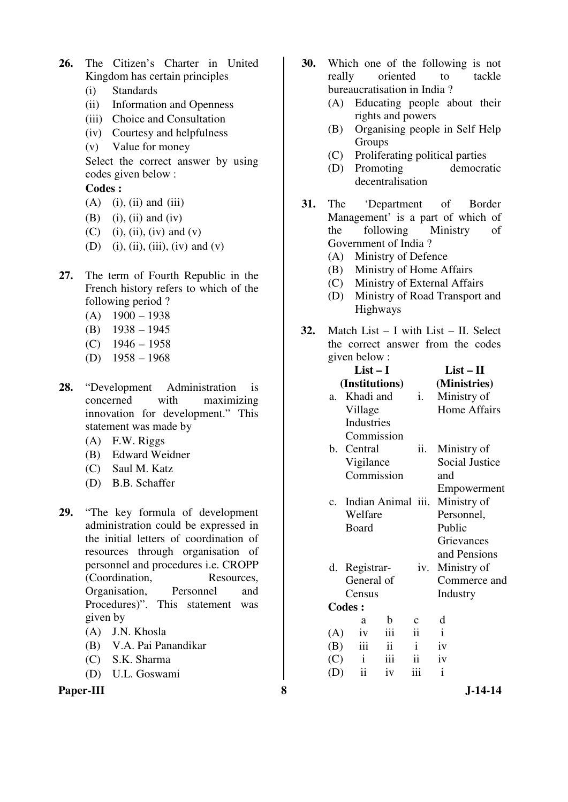- **26.** The Citizen's Charter in United Kingdom has certain principles
	- (i) Standards
	- (ii) Information and Openness
	- (iii) Choice and Consultation
	- (iv) Courtesy and helpfulness
	- (v) Value for money

 Select the correct answer by using codes given below :

- $(A)$  (i), (ii) and (iii)
- $(B)$  (i), (ii) and (iv)
- (C) (i), (ii), (iv) and (v)
- (D) (i), (ii), (iii), (iv) and (v)
- **27.** The term of Fourth Republic in the French history refers to which of the following period ?
	- $(A)$  1900 1938
	- (B) 1938 1945
	- $(C)$  1946 1958
	- (D) 1958 1968
- **28.** "Development Administration is concerned with maximizing innovation for development." This statement was made by
	- (A) F.W. Riggs
	- (B) Edward Weidner
	- (C) Saul M. Katz
	- (D) B.B. Schaffer
- **29.** "The key formula of development administration could be expressed in the initial letters of coordination of resources through organisation of personnel and procedures i.e. CROPP (Coordination, Resources, Organisation, Personnel and Procedures)". This statement was given by
	- (A) J.N. Khosla
	- (B) V.A. Pai Panandikar
	- (C) S.K. Sharma
	- (D) U.L. Goswami



- **30.** Which one of the following is not really oriented to tackle bureaucratisation in India ?
	- (A) Educating people about their rights and powers
	- (B) Organising people in Self Help **Groups**
	- (C) Proliferating political parties
	- (D) Promoting democratic decentralisation
- **31.** The 'Department of Border Management' is a part of which of the following Ministry of Government of India ?
	- (A) Ministry of Defence
	- (B) Ministry of Home Affairs
	- (C) Ministry of External Affairs
	- (D) Ministry of Road Transport and Highways
- **32.** Match List I with List II. Select the correct answer from the codes given below :

|         | $List-I$           | $List - II$             |                     |                       |
|---------|--------------------|-------------------------|---------------------|-----------------------|
|         | (Institutions)     | (Ministries)            |                     |                       |
| a.      | Khadi and          |                         | i.                  | Ministry of           |
|         | Village            |                         |                     | <b>Home Affairs</b>   |
|         | Industries         |                         |                     |                       |
|         | Commission         |                         |                     |                       |
|         | b. Central         |                         | ii.                 | Ministry of           |
|         | Vigilance          |                         |                     | <b>Social Justice</b> |
|         | Commission         |                         |                     | and                   |
|         |                    |                         |                     | Empowerment           |
| $c_{-}$ | Indian Animal iii. |                         |                     | Ministry of           |
|         | Welfare            |                         |                     | Personnel,            |
|         | Board              |                         |                     | Public                |
|         |                    |                         |                     | Grievances            |
|         |                    |                         |                     | and Pensions          |
| d.      | Registrar-         |                         | iv.                 | Ministry of           |
|         | General of         |                         |                     | Commerce and          |
|         | Census             |                         |                     | Industry              |
|         | <b>Codes:</b>      |                         |                     |                       |
|         | a                  | $\mathbf b$             | $\mathbf{C}$        | d                     |
| (A)     | iv                 | iii                     | $\mathbf{ii}$       | $\mathbf{i}$          |
| (B)     | iii                | $\overline{\mathbf{u}}$ | $\mathbf{i}$        | iv                    |
| (C)     | $\mathbf{i}$       | <i>iii</i>              | $\ddot{\mathbf{i}}$ | iv                    |
|         | ii                 | iv                      | iii                 | i                     |
|         |                    |                         |                     |                       |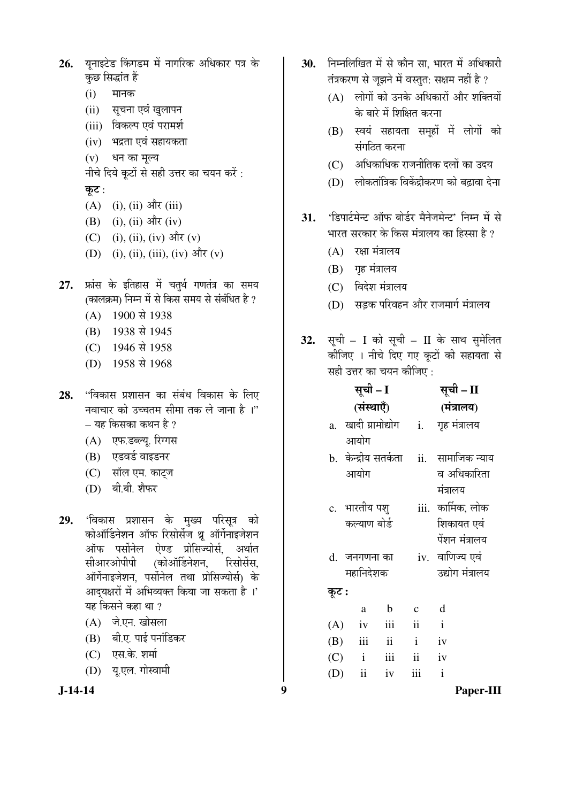- 26. यनाइटेड किंगडम में नागरिक अधिकार पत्र के कछ सिद्धांत हैं
	- $(i)$  मानक
	- (ii) सूचना एवं खुलापन
	- (iii) विकल्प एवं परामर्श
	- $(iv)$  भद्रता एवं सहायकता
	- (v) धन का मल्य
	- नीचे दिये कूटों से सही उत्तर का चयन करें:
	- कूट :
	- $(A)$  (i), (ii) और (iii)
	- $(B)$  (i), (ii) और (iv)
	- (C) (i), (ii), (iv) और (v)
	- $(D)$  (i), (ii), (iii), (iv) और (v)
- 27. फ्रांस के इतिहास में चतुर्थ गणतंत्र का समय (कालक्रम) निम्न में से किस समय से संबंधित है ?
	- $(A)$  1900 से 1938
	- (B) 1938 से 1945
	- (C) 1946 से 1958
	- (D) 1958 से 1968
- **28.** "विकास प्रशासन का संबंध विकास के लिए नवाचार को उच्चतम सीमा तक ले जाना है ।"  $-$  यह किसका कथन है ?
	- (A) एफ.डब्ल्य. रिग्गस
	- (B) एडवर्ड वाइडनर
	- (C) सॉल एम. काट्ज
	- (D) बी.बी. शैफर
- 29. 'विकास प्रशासन के मुख्य परिसूत्र को कोऑर्डिनेशन ऑफ रिसोर्सेज थ्रू ऑर्गेनाइजेशन <u>ऑफ पर्सोनेल ऐण्ड प्रोसिज्योर्स. अर्थात</u> सीआरओपीपी (कोऑर्डिनेशन, रिसोर्सेस, ऑर्गेनाइजेशन, पर्सोनेल तथा प्रोसिज्योर्स) के आदयक्षरों में अभिव्यक्त किया जा सकता है ।' यह किसने कहा था ?
	- $(A)$  जे.एन. खोसला
	- (B) बी.ए. पाई पनांडिकर
	- $(C)$  एस.के. शर्मा
	- (D) यू.एल. गोस्वामी

$$
J-14-14
$$

- 30. FEHMGE में से कौन सा. भारत में अधिकारी तंत्रकरण से जूझने में वस्तुत: सक्षम नहीं है ?
	- $(A)$  लोगों को उनके अधिकारों और शक्तियों के बारे में शिक्षित करना
	- $(B)$  स्वयं सहायता समहों में लोगों को संगटित करना
	- $(C)$  । अधिकाधिक राजनीतिक दलों का उदय
	- $(D)$  लोकतांत्रिक विकेंद्रीकरण को बढावा देना
- 31. 'डिपार्टमेन्ट ऑफ बोर्डर मैनेजमेन्ट' निम्न में से भारत सरकार के किस मंत्रालय का हिस्सा है ?
	- $(A)$  रक्षा मंत्रालय
	- $(B)$  गृह मंत्रालय
	- (C) विदेश मंत्रालय
	- (D) सडक परिवहन और राजमार्ग मंत्रालय
- 32. सूची I को सूची II के साथ सुमेलित कीजिए । नीचे दिए गए कटों की सहायता से सही उत्तर का चयन कीजिए  $\cdot$

|       | सूची – I                 | सूची – II                 |                            |                   |
|-------|--------------------------|---------------------------|----------------------------|-------------------|
|       | (संस्थाएँ)               |                           |                            | (मंत्रालय)        |
|       | a. खादी ग्रामोद्योग      |                           | <i>i</i> .                 | गृह मंत्रालय      |
|       | आयोग                     |                           |                            |                   |
|       | b.  केन्द्रीय सतर्कता    |                           | $\overline{\mathbf{ii}}$ . | सामाजिक न्याय     |
|       | आयोग                     |                           |                            | व अधिकारिता       |
|       |                          |                           |                            | मंत्रालय          |
|       | c.   भारतीय पशु          |                           |                            | iii. कार्मिक, लोक |
|       | कल्याण बोर्ड             |                           |                            | शिकायत एवं        |
|       |                          |                           |                            | पेंशन मंत्रालय    |
|       | d. जनगणना का             |                           |                            | iv. वाणिज्य एवं   |
|       | महानिदेशक                |                           |                            | उद्योग मंत्रालय   |
| कूट : |                          |                           |                            |                   |
|       | a                        | $\mathbf b$               | $\mathbf{C}$               | d                 |
| (A)   | iv                       | iii                       | $\ddot{\mathbf{i}}$        | $\mathbf{i}$      |
|       | $(B)$ iii                | ii                        | $\mathbf{i}$               | iv                |
|       | $(C)$ i                  | $\overline{\mathbf{iii}}$ | $\ddot{\mathbf{i}}$        | iv                |
| (D)   | $\overline{\textbf{ii}}$ | iv                        | iii                        | $\mathbf{i}$      |

**J-14-14 9 Paper-III**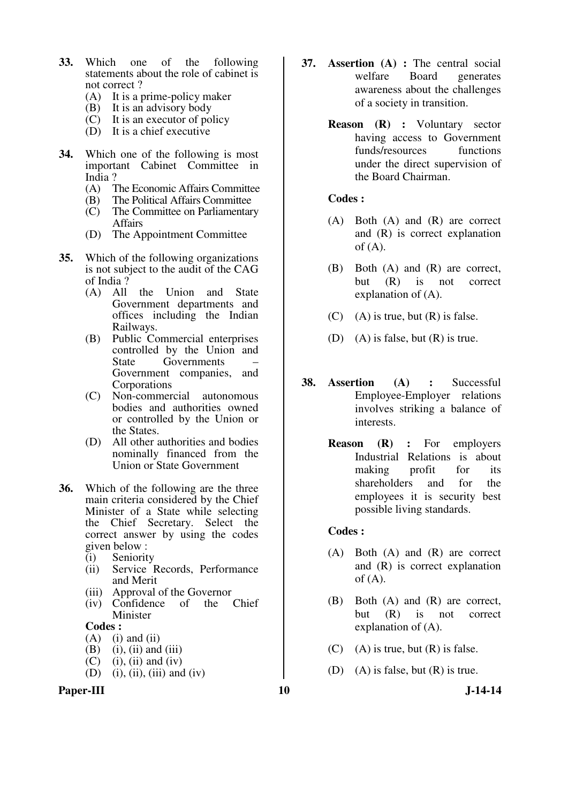- **33.** Which one of the following statements about the role of cabinet is not correct ?
	- (A) It is a prime-policy maker<br>(B) It is an advisory body
	- It is an advisory body
	- $(C)$  It is an executor of policy
	- (D) It is a chief executive
- **34.** Which one of the following is most important Cabinet Committee in India ?<br>(A)  $\overline{I}$ 
	- The Economic Affairs Committee
	- (B) The Political Affairs Committee
	- (C) The Committee on Parliamentary Affairs
	- (D) The Appointment Committee
- **35.** Which of the following organizations is not subject to the audit of the CAG of India ?
	- (A) All the Union and State Government departments and offices including the Indian Railways.
	- (B) Public Commercial enterprises controlled by the Union and<br>State Governments – Governments Government companies, and Corporations
	- (C) Non-commercial autonomous bodies and authorities owned or controlled by the Union or the States.
	- (D) All other authorities and bodies nominally financed from the Union or State Government
- **36.** Which of the following are the three main criteria considered by the Chief Minister of a State while selecting the Chief Secretary. Select the correct answer by using the codes given below :
	- (i) Seniority
	- (ii) Service Records, Performance and Merit
	- (iii) Approval of the Governor<br>(iv) Confidence of the Chief
	- $(iv)$  Confidence of Minister

#### **Codes :**

- $(A)$  (i) and (ii)
- $(B)$  (i), (ii) and (iii)
- $(C)$  (i), (ii) and (iv)
- $(D)$  (i), (ii), (iii) and (iv)

#### Paper-III **10** J-14-14

- **37. Assertion (A) :** The central social welfare Board generates awareness about the challenges of a society in transition.
	- **Reason (R) :** Voluntary sector having access to Government funds/resources functions under the direct supervision of the Board Chairman.

#### **Codes :**

- (A) Both (A) and (R) are correct and (R) is correct explanation of  $(A)$ .
- (B) Both (A) and (R) are correct, but (R) is not correct explanation of (A).
- $(C)$  (A) is true, but  $(R)$  is false.
- (D) (A) is false, but (R) is true.
- **38. Assertion (A) :** Successful Employee-Employer relations involves striking a balance of interests.
	- **Reason (R) :** For employers Industrial Relations is about making profit for its shareholders and for the employees it is security best possible living standards.

- (A) Both (A) and (R) are correct and (R) is correct explanation of  $(A)$ .
- (B) Both (A) and (R) are correct, but (R) is not correct explanation of (A).
- $(C)$  (A) is true, but  $(R)$  is false.
- (D) (A) is false, but  $(R)$  is true.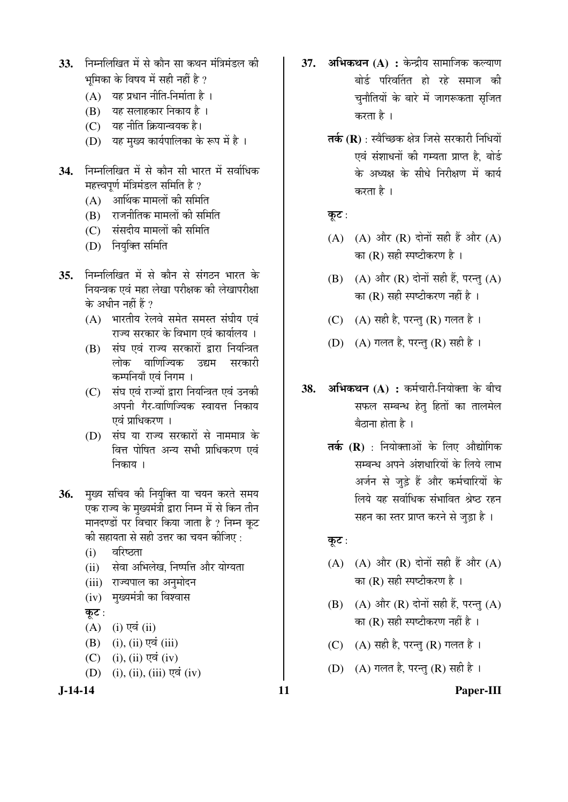- 33. निम्नलिखित में से कौन सा कथन मंत्रिमंडल की भमिका के विषय में सही नहीं है ?
	- $(A)$  यह प्रधान नीति-निर्माता है ।
	- $(B)$  यह सलाहकार निकाय है।
	- (C) यह नीति क्रियान्वयक है।
	- (D) यह मुख्य कार्यपालिका के रूप में है।
- 34. निम्नलिखित में से कौन सी भारत में सर्वाधिक महत्त्वपूर्ण मंत्रिमंडल समिति है ?
	- $(A)$  आर्थिक मामलों की समिति
	- $(B)$  ) राजनीतिक मामलों की समिति
	- (C) संसदीय मामलों की समिति
	- (D) नियुक्ति समिति
- 35. निम्नलिखित में से कौन से संगठन भारत के <u>नियन्त्रक एवं महा लेखा परीक्षक की लेखापरीक्षा</u> के अधीन नहीं हैं ?
	- $(A)$  भारतीय रेलवे समेत समस्त संघीय एवं राज्य सरकार के विभाग एवं कार्यालय ।
	- (B) संघ एवं राज्य सरकारों द्वारा नियन्त्रित लोक वाणिज्यिक उद्यम सरकारी कम्पनियाँ एवं निगम ।
	- (C) संघ एवं राज्यों द्वारा नियन्त्रित एवं उनकी अपनी गैर-वाणिज्यिक स्वायत्त निकाय एवं प्राधिकरण ।
	- (D) संघ या राज्य सरकारों से नाममात्र के वित्त पोषित अन्य सभी प्राधिकरण एवं निकाय ।
- **36.** मुख्य सचिव की नियुक्ति या चयन करते समय एक राज्य के मुख्यमंत्री द्वारा निम्न में से किन तीन मानदण्डों पर विचार किया जाता है ? निम्न कूट की सहायता से सही उत्तर का चयन कीजिए :
	- $(i)$  aरिष्ठता
	- (ii) सेवा अभिलेख, निष्पत्ति और योग्यता
	- (iii) राज्यपाल का अनुमोदन
	- (iv) मुख्यमंत्री का विश्वास

कूट $:$ 

- $(A)$  (i) एवं (ii)
- $(B)$  (i), (ii) एवं (iii)
- $(C)$  (i), (ii) एवं (iv)
- $(D)$  (i), (ii), (iii) एवं (iv)
- **J-14-14 11 Paper-III**
- 37. **अभिकथन (A) :** केन्द्रीय सामाजिक कल्याण बोर्ड परिवर्तित हो रहे समाज की चुनौतियों के बारे में जागरूकता सृजित करता है ।
	- **तर्क (R)** : स्वैच्छिक क्षेत्र जिसे सरकारी निधियों एवं संशाधनों की गम्यता प्राप्त है, बोर्ड के अध्यक्ष के सीधे निरीक्षण में कार्य करता है ।

कूट:

- (A) (A) और (R) दोनों सही हैं और (A) का  $(R)$  सही स्पष्टीकरण है।
- $(B)$   $(A)$  और  $(R)$  दोनों सही हैं, परन्तु  $(A)$ का (R) सही स्पष्टीकरण नहीं है ।
- (C)  $(A)$  सही है, परन्तु (R) गलत है।
- (D) (A) गलत है, परन्तु (R) सही है ।
- **38. अभिकथन (A) :** कर्मचारी-नियोक्ता के बीच सफल सम्बन्ध हेतु हितों का तालमेल बैठाना होता है $\,$ ।
	- **तर्क (R)** : नियोक्ताओं के लिए औद्योगिक सम्बन्ध अपने अंशधारियों के लिये लाभ अर्जन से जुड़े हैं और कर्मचारियों के लिये यह सर्वाधिक संभावित श्रेष्ठ रहन सहन का स्तर प्राप्त करने से जड़ा है ।

कूट:

- (A)  $(A)$  और  $(R)$  दोनों सही हैं और  $(A)$ का $(R)$  सही स्पष्टीकरण है।
- $(B)$   $(A)$  और  $(R)$  दोनों सही हैं, परन्तु  $(A)$ का $(R)$  सही स्पष्टीकरण नहीं है।
- (C)  $(A)$  सही है, परन्तु (R) गलत है।
- (D) (A) गलत है, परन्तु (R) सही है।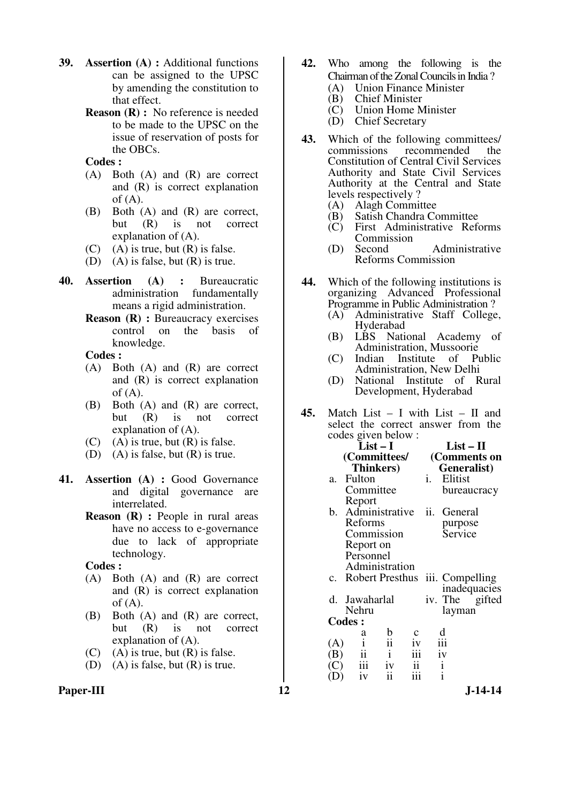- **39. Assertion (A) :** Additional functions can be assigned to the UPSC by amending the constitution to that effect.
	- **Reason (R) :** No reference is needed to be made to the UPSC on the issue of reservation of posts for the OBCs.

 **Codes :** 

- (A) Both (A) and (R) are correct and (R) is correct explanation of  $(A)$ .
- (B) Both (A) and (R) are correct, but (R) is not correct explanation of (A).
- $(C)$  (A) is true, but  $(R)$  is false.
- (D) (A) is false, but  $(R)$  is true.
- **40. Assertion (A) :** Bureaucratic administration fundamentally means a rigid administration.
	- **Reason (R) : Bureaucracy exercises** control on the basis of knowledge.

 **Codes :**

- (A) Both (A) and (R) are correct and (R) is correct explanation of  $(A)$ .
- (B) Both (A) and (R) are correct, but (R) is not correct explanation of (A).
- $(C)$  (A) is true, but  $(R)$  is false.
- (D) (A) is false, but (R) is true.
- **41. Assertion (A) :** Good Governance and digital governance are interrelated.
	- **Reason** (**R**) : People in rural areas have no access to e-governance due to lack of appropriate technology.

 **Codes :**

- (A) Both (A) and (R) are correct and (R) is correct explanation of  $(A)$ .
- (B) Both (A) and (R) are correct, but (R) is not correct explanation of (A).
- $(C)$  (A) is true, but  $(R)$  is false.
- (D) (A) is false, but (R) is true.
- 
- **42.** Who among the following is the Chairman of the Zonal Councils in India?<br>(A) Union Finance Minister
	- (A) Union Finance Minister<br>(B) Chief Minister
	- (B) Chief Minister<br>(C) Union Home M
	- Union Home Minister
	- (D) Chief Secretary
- **43.** Which of the following committees/<br>commissions recommended the recommended Constitution of Central Civil Services Authority and State Civil Services Authority at the Central and State levels respectively ?
	- (A) Alagh Committee<br>(B) Satish Chandra Co
	- (B) Satish Chandra Committee<br>(C) First Administrative Ref
	- First Administrative Reforms Commission<br>Second
	- (D) Second Administrative Reforms Commission
- **44.** Which of the following institutions is organizing Advanced Professional Programme in Public Administration ?
	- (A) Administrative Staff College, Hyderabad
	- (B) LBS National Academy of Administration, Mussoorie<br>Indian Institute of P
	- (C) Indian Institute of Public Administration, New Delhi
	- (D) National Institute of Rural Development, Hyderabad
- **45.** Match List I with List II and select the correct answer from the codes given below :

|               | $\frac{1}{2}$<br>$List-I$ | $List-II$                        |                 |              |                                    |  |  |  |
|---------------|---------------------------|----------------------------------|-----------------|--------------|------------------------------------|--|--|--|
|               | (Committees/              |                                  |                 | (Comments on |                                    |  |  |  |
|               | <b>Thinkers</b> )         |                                  |                 |              | Generalist)                        |  |  |  |
| а.            | Fulton                    |                                  |                 | i.           | Elitist                            |  |  |  |
|               | Committee                 |                                  |                 |              | bureaucracy                        |  |  |  |
|               | Report                    |                                  |                 |              |                                    |  |  |  |
|               | b. Administrative ii.     |                                  |                 |              | General                            |  |  |  |
|               | Reforms                   |                                  |                 |              | purpose                            |  |  |  |
|               | Commission                |                                  |                 |              | Service                            |  |  |  |
|               | Report on                 |                                  |                 |              |                                    |  |  |  |
|               | Personnel                 |                                  |                 |              |                                    |  |  |  |
|               | Administration            |                                  |                 |              |                                    |  |  |  |
|               |                           |                                  |                 |              | c. Robert Presthus iii. Compelling |  |  |  |
|               |                           |                                  |                 |              | inadequacies                       |  |  |  |
|               | d. Jawaharlal             |                                  |                 |              | iv. The gifted                     |  |  |  |
|               | Nehru                     |                                  |                 |              | layman                             |  |  |  |
| <b>Codes:</b> |                           |                                  |                 |              |                                    |  |  |  |
|               | а                         | $\mathbf b$                      |                 |              | d                                  |  |  |  |
| (A)           | $\rm i$                   | $\ddot{\mathbf{i}}$              | 1V              |              | iii                                |  |  |  |
| (B)           | $\ddot{\mathbf{i}}$       | $\mathbf{i}$                     | iii             |              | iv                                 |  |  |  |
| (C)           | $\overline{\text{iii}}$   |                                  | $\frac{1}{111}$ |              | $\frac{i}{i}$                      |  |  |  |
| (D)           | iv                        | $\frac{1}{iv}$<br>$\frac{1}{ii}$ |                 |              |                                    |  |  |  |

Paper-III **12** J-14-14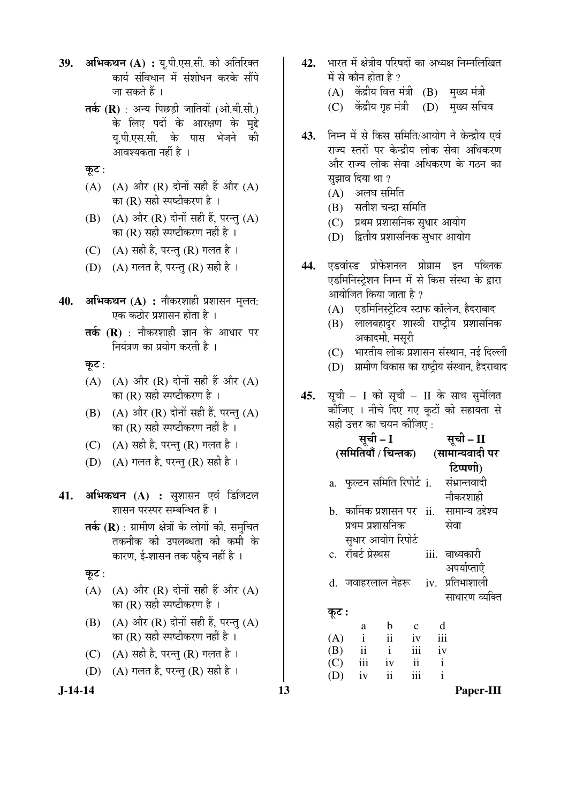- 39. **अभिकथन (A) :** य.पी.एस.सी. को अतिरिक्त कार्य संविधान में संशोधन करके सौंपे जा सकते हैं ।
	- **तर्क (R)** : अन्य पिछडी जातियों (ओ.बी.सी.) के लिए पदों के आरक्षण के मुद्दे यू.पी.एस.सी. के पास भेजने की आवश्यकता नहीं है ।
	- कूट:
	- $(A)$   $(A)$  और  $(R)$  दोनों सही हैं और  $(A)$ का  $(R)$  सही स्पष्टीकरण है।
	- $(B)$   $(A)$  और  $(R)$  दोनों सही हैं, परन्तु  $(A)$ का  $(R)$  सही स्पष्टीकरण नहीं है ।
	- (C)  $(A)$  सही है, परन्तु (R) गलत है।
	- (D)  $(A)$  गलत है, परन्तु (R) सही है ।
- **40. अभिकथन (A) :** नौकरशाही प्रशासन मुलत: एक कठोर प्रशासन होता है ।
	- **तर्क (R)** : नौकरशाही ज्ञान के आधार पर <u>नियंत्रण का प्रयोग करती है</u> ।
	- कूट :
	- (A) (A) और (R) दोनों सही हैं और (A) का (R) सही स्पष्टीकरण है ।
	- $(B)$   $(A)$  और  $(R)$  दोनों सही हैं, परन्तु  $(A)$ का (R) सही स्पष्टीकरण नहीं है ।
	- (C)  $(A)$  सही है, परन्त $(R)$  गलत है।
	- (D)  $(A)$  गलत है, परन्तु (R) सही है।
- 41. **अभिकथन (A) :** सुशासन एवं डिजिटल शासन परस्पर सम्बन्धित हैं ।
	- **तर्क (R)** : ग्रामीण क्षेत्रों के लोगों की. समचित तकनीक की उपलब्धता की कमी के कारण, ई-शासन तक पहुँच नहीं है ।
	- कूट $:$
	- $(A)$   $(A)$  और  $(R)$  दोनों सही हैं और  $(A)$ का (R) सही स्पष्टीकरण है ।
	- $(B)$   $(A)$  और  $(R)$  दोनों सही हैं, परन्तु  $(A)$ का (R) सही स्पष्टीकरण नहीं है ।
	- (C)  $(A)$  सही है, परन्तु (R) गलत है।
	- (D)  $(A)$  गलत है, परन्तु (R) सही है ।
- 
- 42. भारत में क्षेत्रीय परिषदों का अध्यक्ष निम्नलिखित में से कौन होता है  $\overline{v}$ 
	- $(A)$  केंद्रीय वित्त मंत्री  $(B)$  मुख्य मंत्री
	- (C) केंद्रीय गृह मंत्री (D) मुख्य सचिव
- 43. निम्न में से किस समिति/आयोग ने केन्द्रीय एवं राज्य स्तरों पर केन्द्रीय लोक सेवा अधिकरण और राज्य लोक सेवा अधिकरण के गठन का सुझाव दिया था ?
	- $(A)$  अलघ समिति
	- $(B)$  सतीश चन्द्रा समिति
	- (C) प्रथम प्रशासनिक सुधार आयोग
	- (D) द्वितीय प्रशासनिक सधार आयोग
- **44.** एडवांस्ड प्रोफेशनल प्रोग्राम इन पब्लिक एडमिनिस्ट्रेशन निम्न में से किस संस्था के द्वारा आयोजित किया जाता है ?
	- $(A)$  एडमिनिस्ट्रेटिव स्टाफ कॉलेज, हैदराबाद
	- (B) लालबहादुर शास्त्री राष्ट्रीय प्रशासनिक अकादमी, मसूरी
	- $(C)$  भारतीय लोक प्रशासन संस्थान, नई दिल्ली
	- (D) प्रामीण विकास का राष्ट्रीय संस्थान, हैदराबाद
- 45. सूची I को सूची II के साथ सुमेलित कीजिए । नीचे दिए गए कूटों की सहायता से सही उत्तर का चयन कीजिए :

|    |   |                                                                      |                                                                         |                                                                 | सूची – II                                                                                                                                                             |
|----|---|----------------------------------------------------------------------|-------------------------------------------------------------------------|-----------------------------------------------------------------|-----------------------------------------------------------------------------------------------------------------------------------------------------------------------|
|    |   |                                                                      |                                                                         |                                                                 | (सामान्यवादी पर                                                                                                                                                       |
|    |   |                                                                      |                                                                         |                                                                 | टिप्पणी)                                                                                                                                                              |
|    |   |                                                                      |                                                                         |                                                                 | संभ्रान्तवादी                                                                                                                                                         |
|    |   |                                                                      |                                                                         |                                                                 | नौकरशाही                                                                                                                                                              |
|    |   |                                                                      |                                                                         |                                                                 |                                                                                                                                                                       |
|    |   |                                                                      |                                                                         |                                                                 | सेवा                                                                                                                                                                  |
|    |   |                                                                      |                                                                         |                                                                 |                                                                                                                                                                       |
|    |   |                                                                      |                                                                         |                                                                 | iii. बाध्यकारी                                                                                                                                                        |
|    |   |                                                                      |                                                                         |                                                                 | अपर्याप्ताएँ                                                                                                                                                          |
|    |   |                                                                      |                                                                         |                                                                 |                                                                                                                                                                       |
|    |   |                                                                      |                                                                         |                                                                 | साधारण व्यक्ति                                                                                                                                                        |
|    |   |                                                                      |                                                                         |                                                                 |                                                                                                                                                                       |
|    | a | b                                                                    |                                                                         | d                                                               |                                                                                                                                                                       |
|    |   |                                                                      |                                                                         |                                                                 |                                                                                                                                                                       |
|    |   |                                                                      |                                                                         |                                                                 |                                                                                                                                                                       |
|    |   | $\ddot{\rm ii}$                                                      |                                                                         | $\mathbf{i}$                                                    |                                                                                                                                                                       |
| 13 |   |                                                                      |                                                                         |                                                                 | Paper-III                                                                                                                                                             |
|    |   | कूट :<br>$\mathbf{i}$<br>(A)<br>ii<br>(B)<br>iii<br>(C)<br>iv<br>(D) | सूची – I<br>c. रॉबर्ट प्रेस्थस<br>$\ddot{\rm ii}$<br>$\mathbf{i}$<br>iv | प्रथम प्रशासनिक<br>सुधार आयोग रिपोर्ट<br>iv<br>iii<br>ii<br>iii | (समितियाँ / चिन्तक)<br>a. फुल्टन समिति रिपोर्ट i.<br>b.  कार्मिक प्रशासन पर  ii.   सामान्य उद्देश्य<br>d. जवाहरलाल नेहरू iv. प्रतिभाशाली<br>iii<br>iv<br>$\mathbf{i}$ |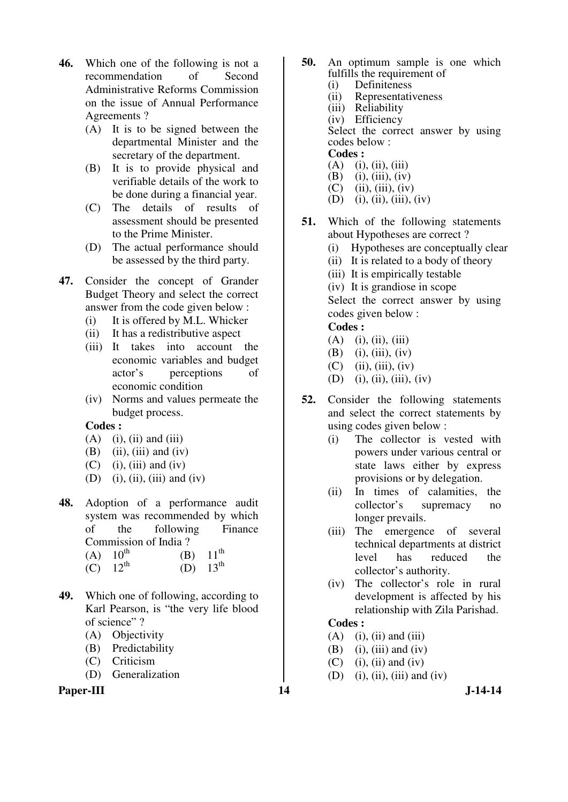- **46.** Which one of the following is not a recommendation of Second Administrative Reforms Commission on the issue of Annual Performance Agreements ?
	- (A) It is to be signed between the departmental Minister and the secretary of the department.
	- (B) It is to provide physical and verifiable details of the work to be done during a financial year.
	- (C) The details of results of assessment should be presented to the Prime Minister.
	- (D) The actual performance should be assessed by the third party.
- **47.** Consider the concept of Grander Budget Theory and select the correct answer from the code given below :
	- (i) It is offered by M.L. Whicker
	- (ii) It has a redistributive aspect
	- (iii) It takes into account the economic variables and budget actor's perceptions of economic condition
	- (iv) Norms and values permeate the budget process.

#### **Codes :**

- $(A)$  (i), (ii) and (iii)
- $(B)$  (ii), (iii) and (iv)
- $(C)$  (i), (iii) and (iv)
- $(D)$  (i), (ii), (iii) and (iv)
- **48.** Adoption of a performance audit system was recommended by which of the following Finance Commission of India ?

(A)  $10^{th}$  (B)  $11^{\text{th}}$ 

- (C)  $12^{th}$  (D)  $13^{\text{th}}$
- **49.** Which one of following, according to Karl Pearson, is "the very life blood of science" ?
	- (A) Objectivity
	- (B) Predictability
	- (C) Criticism
	- (D) Generalization

#### Paper-III **14** J-14-14

- **50.** An optimum sample is one which fulfills the requirement of
	- (i) Definiteness
	- (ii) Representativeness
	- (iii) Reliability

 (iv) Efficiency Select the correct answer by using codes below :

#### **Codes :**

- (A) (i), (ii), (iii)<br>(B) (i), (iii), (iv)
- (B) (i), (iii), (iv)<br>(C) (ii), (iii), (iv)
- $(ii), (iii), (iv)$
- (D) (i), (ii), (iii), (iv)
- **51.** Which of the following statements about Hypotheses are correct ?
	- (i) Hypotheses are conceptually clear
	- (ii) It is related to a body of theory
	- (iii) It is empirically testable
	- (iv) It is grandiose in scope

 Select the correct answer by using codes given below :

#### **Codes :**

- $(A)$  (i), (ii), (iii)
- $(B)$  (i), (iii), (iv)
- $(C)$  (ii), (iii), (iv)
- $(D)$  (i), (ii), (iii), (iv)
- **52.** Consider the following statements and select the correct statements by using codes given below :
	- (i) The collector is vested with powers under various central or state laws either by express provisions or by delegation.
	- (ii) In times of calamities, the collector's supremacy no longer prevails.
	- (iii) The emergence of several technical departments at district level has reduced the collector's authority.
	- (iv) The collector's role in rural development is affected by his relationship with Zila Parishad.

- $(A)$  (i), (ii) and (iii)
- $(B)$  (i), (iii) and (iv)
- $(C)$  (i), (ii) and (iv)
- (D) (i), (ii), (iii) and (iv)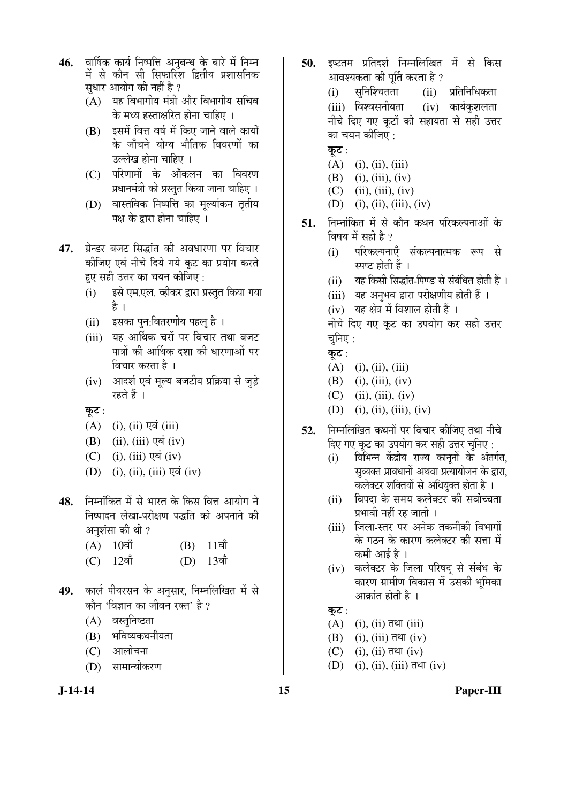- 46. वार्षिक कार्य निष्पत्ति अनुबन्ध के बारे में निम्न में से कौन सी सिफारिश द्वितीय प्रशासनिक सुधार आयोग की नहीं है ?
	- $(A)$  यह विभागीय मंत्री और विभागीय सचिव के मध्य हस्ताक्षरित होना चाहिए ।
	- (B) इसमें वित्त वर्ष में किए जाने वाले कार्यों के जाँचने योग्य भौतिक विवरणों का उल्लेख होना चाहिए ।
	- (C) परिणामों के आँकलन का विवरण प्रधानमंत्री को प्रस्तुत किया जाना चाहिए ।
	- $(D)$  वास्तविक निष्पत्ति का मल्यांकन तृतीय पक्ष के द्रारा होना चाहिए ।
- 47. प्रेन्डर बजट सिद्धांत की अवधारणा पर विचार कीजिए एवं नीचे दिये गये कूट का प्रयोग करते हए सही उत्तर का चयन कीजिए :
	- (i) इसे एम.एल. व्हीकर द्वारा प्रस्तुत किया गया है ।
	- (ii) इसका पन:वितरणीय पहलू है)।
	- (iii) यह आर्थिक चरों पर विचार तथा बजट पात्रों की आर्थिक दशा की धारणाओं पर विचार करता है ।
	- (iv) आदर्श एवं मुल्य बजटीय प्रक्रिया से जुड़े रहते हैं ।
	- कूट:
	- $(A)$  (i), (ii) एवं (iii)
	- $(B)$  (ii), (iii) एवं (iv)
	- $(C)$  (i), (iii) एवं (iv)
	- $(D)$  (i), (ii), (iii) एवं (iv)
- 48. निम्नांकित में से भारत के किस वित्त आयोग ने निष्पादन लेखा-परीक्षण पद्धति को अपनाने की अनुशंसा की थी ?
	- $(A)$  10वॉ  $(B)$  11वॉ
	- (C) 12वाँ (D) 13वाँ
- 49. कार्ल पीयरसन के अनुसार, निम्नलिखित में से कौन 'विज्ञान का जीवन रक्त' है ?
	- (A) वस्तुनिष्ठता
	- $(B)$  भविष्यकथनीयता
	- $(C)$  आलोचना
	- (D) सामान्यीकरण

50. इष्टतम प्रतिदर्श निम्नलिखित में से किस आवश्यकता की पर्ति करता है ?

(i) सुनिश्चितता (ii) प्रतिनिधिकता (iii) विश्वसनीयता (iv) कार्यकुशलता नीचे दिए गए कटों की सहायता से सही उत्तर का चयन कीजिए :

- कूट:
- $(A)$  (i), (ii), (iii)
- $(B)$  (i), (iii), (iv)
- $(C)$  (ii), (iii), (iv)
- (D) (i), (ii), (iii), (iv)
- **51.** निम्नांकित में से कौन कथन परिकल्पनाओं के विषय में सही है ?
	- (i) परिकल्पनाएँ संकल्पनात्मक रूप से स्पष्ट होती हैं ।
	- (ii) यह किसी सिद्धांत-पिण्ड से संबंधित होती हैं)।
	- (iii) यह अनुभव द्वारा परीक्षणीय होती हैं।
	- (iv) यह क्षेत्र में विशाल होती हैं ।

नीचे दिए गए कूट का उपयोग कर सही उत्तर चुनिए $:$ 

कूट:

- $(A)$  (i), (ii), (iii)
- $(B)$  (i), (iii), (iv)
- $(C)$  (ii), (iii), (iv)
- $(D)$  (i), (ii), (iii), (iv)
- **52.** निम्नलिखित कथनों पर विचार कीजिए तथा नीचे दिए गए कुट का उपयोग कर सही उत्तर चुनिए :
	- (i) विभिन्न केंद्रीय राज्य कानूनों के अंतर्गत, <u>सु</u>व्यक्त प्रावधानों अथवा प्रत्यायोजन के द्वारा, कलेक्टर शक्तियों से अधियक्त होता है ।
	- (ii) विपदा के समय कलेक्टर की सर्वोच्चता प्रभावी नहीं रह जाती ।
	- (iii) जिला-स्तर पर अनेक तकनीकी विभागों के गठन के कारण कलेक्टर की सत्ता में कमी आई है ।
	- (iv) कलेक्टर के जिला परिषद से संबंध के कारण ग्रामीण विकास में उसकी भूमिका आक्रांत होती है ।

## कुट $:$

- $(A)$  (i), (ii) तथा (iii)
- $(B)$  (i), (iii) तथा (iv)
- $(C)$  (i), (ii) तथा (iv)
- $(D)$  (i), (ii), (iii) तथा (iv)
- **J-14-14 15 Paper-III**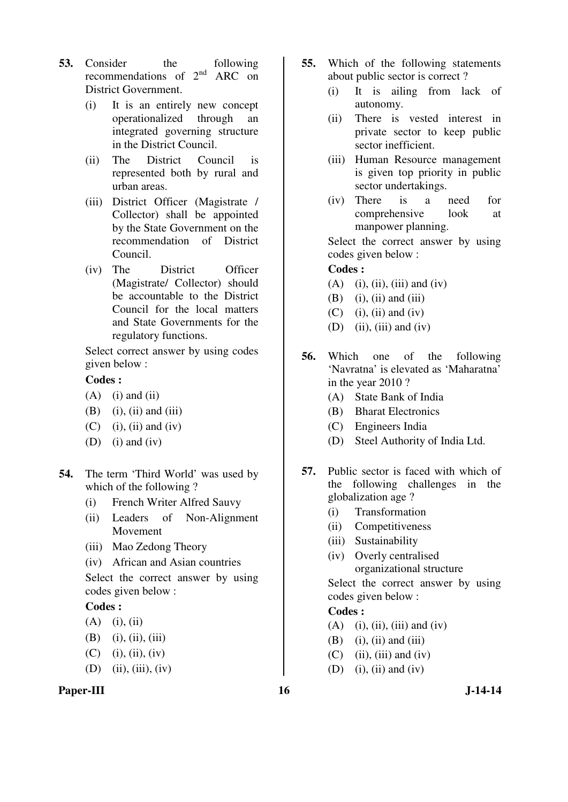- **53.** Consider the following recommendations of  $2<sup>nd</sup>$  ARC on District Government.
	- (i) It is an entirely new concept operationalized through an integrated governing structure in the District Council.
	- (ii) The District Council is represented both by rural and urban areas.
	- (iii) District Officer (Magistrate / Collector) shall be appointed by the State Government on the recommendation of District Council.
	- (iv) The District Officer (Magistrate/ Collector) should be accountable to the District Council for the local matters and State Governments for the regulatory functions.

 Select correct answer by using codes given below :

#### **Codes :**

- $(A)$  (i) and (ii)
- $(B)$  (i), (ii) and (iii)
- $(C)$  (i), (ii) and (iv)
- (D) (i) and (iv)
- **54.** The term 'Third World' was used by which of the following ?
	- (i) French Writer Alfred Sauvy
	- (ii) Leaders of Non-Alignment Movement
	- (iii) Mao Zedong Theory
	- (iv) African and Asian countries

 Select the correct answer by using codes given below :

## **Codes :**

 $(A)$  (i), (ii)

 $(B)$  (i), (ii), (iii)

$$
(C) \quad (i), (ii), (iv)
$$

(D) (ii), (iii), (iv)

#### Paper-III 16 J-14-14

- **55.** Which of the following statements about public sector is correct ?
	- (i) It is ailing from lack of autonomy.
	- (ii) There is vested interest in private sector to keep public sector inefficient.
	- (iii) Human Resource management is given top priority in public sector undertakings.
	- (iv) There is a need for comprehensive look at manpower planning.

 Select the correct answer by using codes given below :

## **Codes :**

- $(A)$  (i), (ii), (iii) and (iv)
- $(B)$  (i), (ii) and (iii)
- $(C)$  (i), (ii) and (iv)
- $(D)$  (ii), (iii) and (iv)
- **56.** Which one of the following 'Navratna' is elevated as 'Maharatna' in the year 2010 ?
	- (A) State Bank of India
	- (B) Bharat Electronics
	- (C) Engineers India
	- (D) Steel Authority of India Ltd.
- **57.** Public sector is faced with which of the following challenges in the globalization age ?
	- (i) Transformation
	- (ii) Competitiveness
	- (iii) Sustainability
	- (iv) Overly centralised organizational structure

 Select the correct answer by using codes given below :

- $(A)$  (i), (ii), (iii) and (iv)
- $(B)$  (i), (ii) and (iii)
- $(C)$  (ii), (iii) and (iv)
- $(D)$  (i), (ii) and (iv)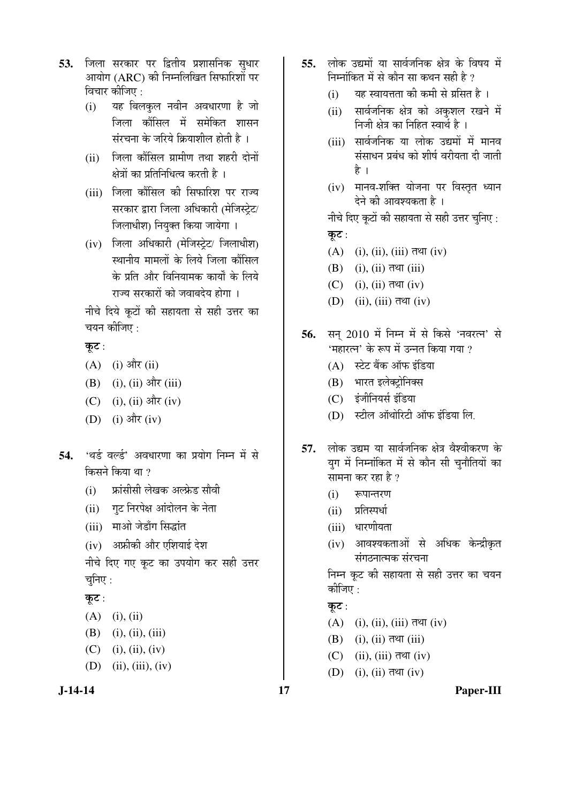- **53.** जिला सरकार पर द्वितीय प्रशासनिक सुधार आयोग (ARC) की निम्नलिखित सिफारिशों पर विचार कीजिए :
	- (i) यह बिलकुल नवीन अवधारणा है जो जिला कौंसिल में समेकित शासन संरचना के जरिये क्रियाशील होती है ।
	- (ii) जिला कौंसिल ग्रामीण तथा शहरी दोनों क्षेत्रों का प्रतिनिधित्व करती है ।
	- (iii) जिला कौंसिल की सिफारिश पर राज्य सरकार द्वारा जिला अधिकारी (मेजिस्ट्रेट/ जिलाधीश) नियुक्त किया जायेगा ।
	- (iv) जिला अधिकारी (मेजिस्ट्रेट/ जिलाधीश) स्थानीय मामलों के लिये जिला कौंसिल के प्रति और विनियामक कार्यों के लिये राज्य सरकारों को जवाबदेय होगा ।

नीचे दिये कूटों की सहायता से सही उत्तर का चयन कीजिए :

कूट:

- $(A)$  (i) और (ii)
- (B) (i), (ii) और (iii)
- $(C)$  (i), (ii) और (iv)
- $(D)$  (i) और (iv)
- 54. 'थर्ड वर्ल्ड' अवधारणा का प्रयोग निम्न में से किसने किया था $\,$ ?
	- (i) ज्ञांसीसी लेखक अल्फ्रेड सौवी
	- (ii) गट निरपेक्ष आंदोलन के नेता
	- (iii) माओ जेडाँग सिद्धांत
	- (iv) अफ्रीकी और एशियाई देश

नीचे दिए गए कूट का उपयोग कर सही उत्तर चनिए $:$ 

## कूट:

- $(A)$  (i), (ii)
- (B) (i), (ii), (iii)
- $(C)$  (i), (ii), (iv)
- (D) (ii), (iii), (iv)



- 55. लोक उद्यमों या सार्वजनिक क्षेत्र के विषय में निम्नांकित में से कौन सा कथन सही है ?
	- $(i)$  यह स्वायत्तता की कमी से ग्रसित है)।
	- (ii) सार्वजनिक क्षेत्र को अकुशल रखने में निजी क्षेत्र का निहित स्वार्थ है ।
	- (iii) सार्वजनिक या लोक उद्यमों में मानव संसाधन प्रबंध को शीर्ष वरीयता दी जाती है ।
	- (iv) मानव-शक्ति योजना पर विस्तृत ध्यान देने की आवश्यकता है।

नीचे दिए कूटों की सहायता से सही उत्तर चुनिए:

- कूट:
- $(A)$  (i), (ii), (iii) तथा (iv)
- $(B)$  (i), (ii) तथा (iii)
- $(C)$  (i), (ii) तथा (iv)
- $(D)$  (ii), (iii) तथा (iv)
- 56. सन् 2010 में निम्न में से किसे 'नवरत्न' से 'महारत्न' के रूप में उन्नत किया गया ?
	- $(A)$  स्टेट बैंक ऑफ इंडिया
	- (B) भारत इलेक्ट्रोनिक्स
	- (C) इंजीनियर्स इंडिया
	- $(D)$  स्टील ऑथोरिटी ऑफ इंडिया लि.
- 57. लोक उद्यम या सार्वजनिक क्षेत्र वैश्वीकरण के युग में निम्नांकित में से कौन सी चुनौतियों का सामना कर रहा है ?
	- $(i)$  रूपान्तरण
	- (ii) प्रतिस्पर्धा
	- (iii) धारणीयता
	- (iv) आवश्यकताओं से अधिक केन्द्रीकृत संगठनात्मक संरचना

निम्न कुट की सहायता से सही उत्तर का चयन कीजिए :

## कूट:

$$
(A) \quad (i), (ii), (iii) \overline{\tau} \mathfrak{A} \mathfrak{A} \quad (iv)
$$

- $(B)$  (i), (ii) तथा (iii)
- $(C)$  (ii), (iii) तथा (iv)
- $(D)$  (i), (ii) तथा (iv)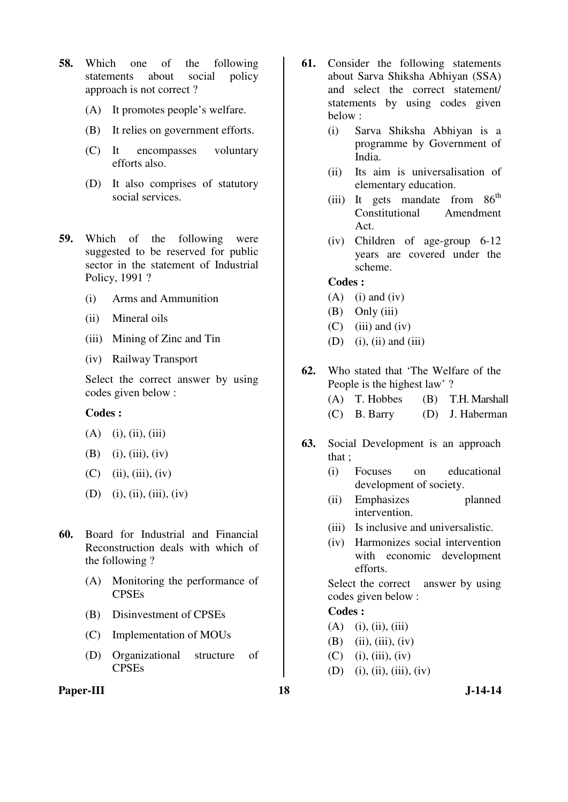- **58.** Which one of the following statements about social policy approach is not correct ?
	- (A) It promotes people's welfare.
	- (B) It relies on government efforts.
	- (C) It encompasses voluntary efforts also.
	- (D) It also comprises of statutory social services.
- **59.** Which of the following were suggested to be reserved for public sector in the statement of Industrial Policy, 1991 ?
	- (i) Arms and Ammunition
	- (ii) Mineral oils
	- (iii) Mining of Zinc and Tin
	- (iv) Railway Transport

 Select the correct answer by using codes given below :

#### **Codes :**

- $(A)$  (i), (ii), (iii)
- (B) (i), (iii), (iv)
- $(C)$  (ii), (iii), (iv)
- (D) (i), (ii), (iii), (iv)
- **60.** Board for Industrial and Financial Reconstruction deals with which of the following ?
	- (A) Monitoring the performance of CPSEs
	- (B) Disinvestment of CPSEs
	- (C) Implementation of MOUs
	- (D) Organizational structure of CPSEs
- Paper-III 18 J-14-14
- **61.** Consider the following statements about Sarva Shiksha Abhiyan (SSA) and select the correct statement/ statements by using codes given below :
	- (i) Sarva Shiksha Abhiyan is a programme by Government of India.
	- (ii) Its aim is universalisation of elementary education.
	- (iii) It gets mandate from  $86<sup>th</sup>$ Constitutional Amendment Act.
	- (iv) Children of age-group 6-12 years are covered under the scheme.

#### **Codes :**

- $(A)$  (i) and (iv)
- $(B)$  Only  $(iii)$
- $(C)$  (iii) and (iv)
- $(D)$  (i), (ii) and (iii)
- **62.** Who stated that 'The Welfare of the People is the highest law' ?
	- (A) T. Hobbes (B) T.H. Marshall
	- (C) B. Barry (D) J. Haberman
- **63.** Social Development is an approach that ;
	- (i) Focuses on educational development of society.
	- (ii) Emphasizes planned intervention.
	- (iii) Is inclusive and universalistic.
	- (iv) Harmonizes social intervention with economic development efforts.

Select the correct answer by using codes given below :

- $(A)$  (i), (ii), (iii)
- $(B)$  (ii), (iii), (iv)
- $(C)$  (i), (iii), (iv)
- (D) (i), (ii), (iii), (iv)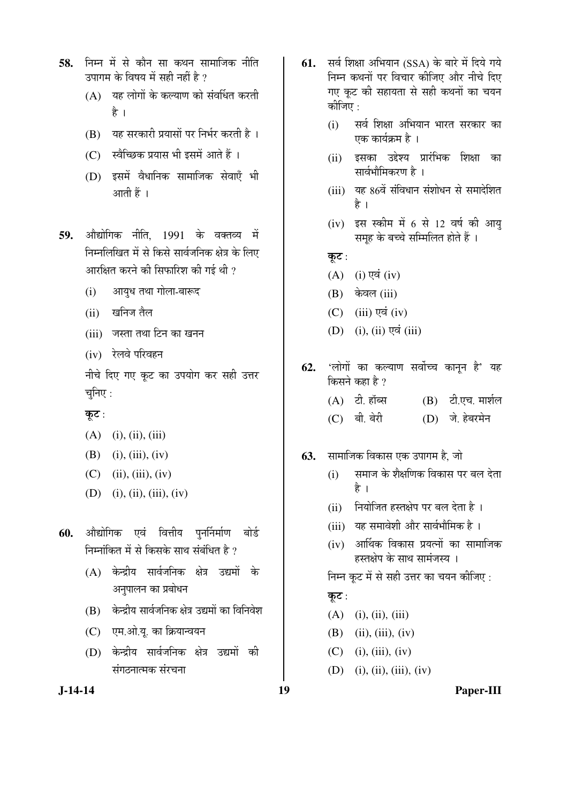- 58. निम्न में से कौन सा कथन सामाजिक नीति उपागम के विषय में सही नहीं है  $\overline{?}$ 
	- $(A)$  यह लोगों के कल्याण को संवर्धित करती है ।
	- $(B)$  यह सरकारी प्रयासों पर निर्भर करती है।
	- $(C)$  स्वैच्छिक प्रयास भी इसमें आते हैं ।
	- (D) इसमें वैधानिक सामाजिक सेवाएँ भी आती हैं ।
- 59. औद्योगिक नीति, 1991 के वक्तव्य में निम्नलिखित में से किसे सार्वजनिक क्षेत्र के लिए आरक्षित करने की सिफारिश की गई थी ?
	- (i) आयुध तथा गोला-बारूद
	- $(ii)$  खनिज तैल
	- (iii) जस्ता तथा टिन का खनन
	- (iv) रेलवे परिवहन

नीचे दिए गए कूट का उपयोग कर सही उत्तर चुनिए $:$ 

कुट:

- $(A)$  (i), (ii), (iii)
- (B) (i), (iii), (iv)
- $(C)$  (ii), (iii), (iv)
- (D) (i), (ii), (iii), (iv)
- 60. औद्योगिक एवं वित्तीय पुनर्निर्माण बोर्ड निम्नांकित में से किसके साथ संबंधित है ?
	- (A) केन्द्रीय सार्वजनिक क्षेत्र उद्यमों के अनुपालन का प्रबोधन
	- $(B)$  केन्द्रीय सार्वजनिक क्षेत्र उद्यमों का विनिवेश
	- (C) एम.ओ.यू. का क्रियान्वयन
	- (D) केन्द्रीय सार्वजनिक क्षेत्र उद्यमों की संगठनात्मक संरचना
- **61.** सर्व शिक्षा अभियान (SSA) के बारे में दिये गये निम्न कथनों पर विचार कीजिए और नीचे दिए गए कूट की सहायता से सही कथनों का चयन कोजिए  $\cdot$ 
	- (i) सर्व शिक्षा अभियान भारत सरकार का एक कार्यक्रम है ।
	- (ii) इसका उद्देश्य प्रारंभिक शिक्षा का सार्वभौमिकरण है ।
	- (iii) यह 86वें संविधान संशोधन से समादेशित है ।
	- (iv) इस स्कीम में 6 से 12 वर्ष की आयु समह के बच्चे सम्मिलित होते हैं ।
	- कुट $:$
	- $(A)$  (i) एवं (iv)
	- $(B)$  केवल (iii)
	- $(C)$  (iii) एवं (iv)
	- $(D)$  (i), (ii) एवं (iii)
- **62.** 'लोगों का कल्याण सर्वोच्च कानून है' यह किसने कहा है ?
	- $(A)$  टी. हॉब्स  $(B)$  टी.एच. मार्शल (C) बी. बेरी (D) जे. हेबरमेन
- **63.** सामाजिक विकास एक उपागम है, जो
	- $(i)$  समाज के शैक्षणिक विकास पर बल देता है ।
	- (ii) नियोजित हस्तक्षेप पर बल देता है।
	- (iii) यह समावेशी और सार्वभौमिक है)।
	- $(iv)$  आर्थिक विकास प्रयत्नों का सामाजिक हस्तक्षेप के साथ सामंजस्य ।

निम्न कूट में से सही उत्तर का चयन कीजिए :

## कूट:

- $(A)$  (i), (ii), (iii)
- (B) (ii), (iii), (iv)
- $(C)$  (i), (iii), (iv)
- (D) (i), (ii), (iii), (iv)

**J-14-14 19 Paper-III**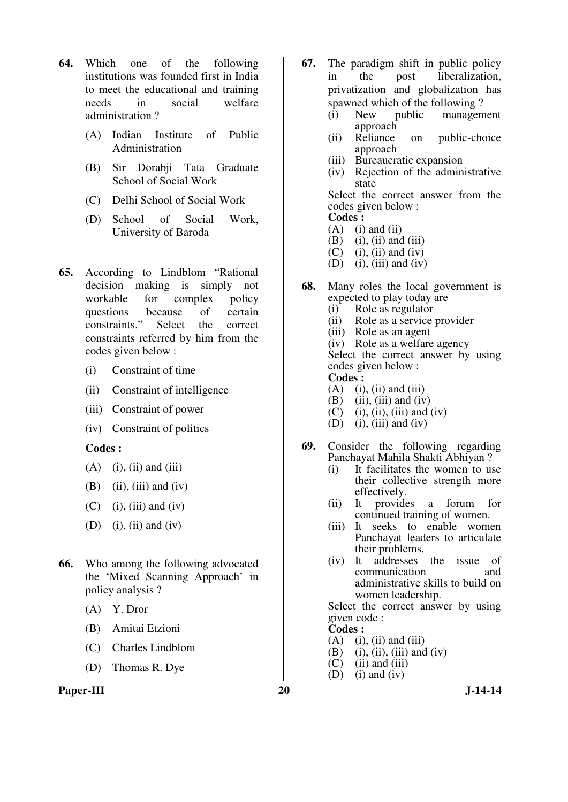- **64.** Which one of the following institutions was founded first in India to meet the educational and training needs in social welfare administration ?
	- (A) Indian Institute of Public Administration
	- (B) Sir Dorabji Tata Graduate School of Social Work
	- (C) Delhi School of Social Work
	- (D) School of Social Work, University of Baroda
- **65.** According to Lindblom "Rational decision making is simply not workable for complex policy questions because of certain constraints." Select the correct constraints referred by him from the codes given below :
	- (i) Constraint of time
	- (ii) Constraint of intelligence
	- (iii) Constraint of power
	- (iv) Constraint of politics

#### **Codes :**

- $(A)$  (i), (ii) and (iii)
- $(B)$  (ii), (iii) and (iv)
- $(C)$  (i), (iii) and (iv)
- (D) (i), (ii) and (iv)
- **66.** Who among the following advocated the 'Mixed Scanning Approach' in policy analysis ?
	- (A) Y. Dror
	- (B) Amitai Etzioni
	- (C) Charles Lindblom
	- (D) Thomas R. Dye

#### Paper-III 20 J-14-14

- **67.** The paradigm shift in public policy in the post liberalization, privatization and globalization has spawned which of the following ?<br>(i) New public management
	- (i) New public management approach
	- (ii) Reliance on public-choice approach
	- (iii) Bureaucratic expansion<br>(iv) Rejection of the admin
	- Rejection of the administrative state

 Select the correct answer from the codes given below : **Codes :** 

- $(A)$  (i) and (ii)
- $(B)$  (i), (ii) and (iii)
- $(C)$  (i), (ii) and (iv)
- $(D)$  (i), (iii) and (iv)
- **68.** Many roles the local government is expected to play today are
	- (i) Role as regulator<br>(ii) Role as a service
	- Role as a service provider
	- (iii) Role as an agent
	- (iv) Role as a welfare agency

 Select the correct answer by using codes given below :

## **Codes :**

- $(A)$  (i), (ii) and (iii)
- $(B)$  (ii), (iii) and (iv)
- (C) (i), (ii), (iii) and (iv)<br>(D) (i), (iii) and (iv)
- $(i)$ ,  $(iii)$  and  $(iv)$
- **69.** Consider the following regarding Panchayat Mahila Shakti Abhiyan ?
	- (i) It facilitates the women to use their collective strength more effectively.
	- (ii) It provides a forum for continued training of women.
	- (iii) It seeks to enable women Panchayat leaders to articulate their problems.<br>(iv) It addresses
	- addresses the issue of communication and administrative skills to build on women leadership.

 Select the correct answer by using given code :

# **Codes :**<br>(A) (i)

- $(i)$ ,  $(ii)$  and  $(iii)$
- $(B)$  (i), (ii), (iii) and (iv)
- $(C)$  (ii) and (iii)
- $(D)$  (i) and (iv)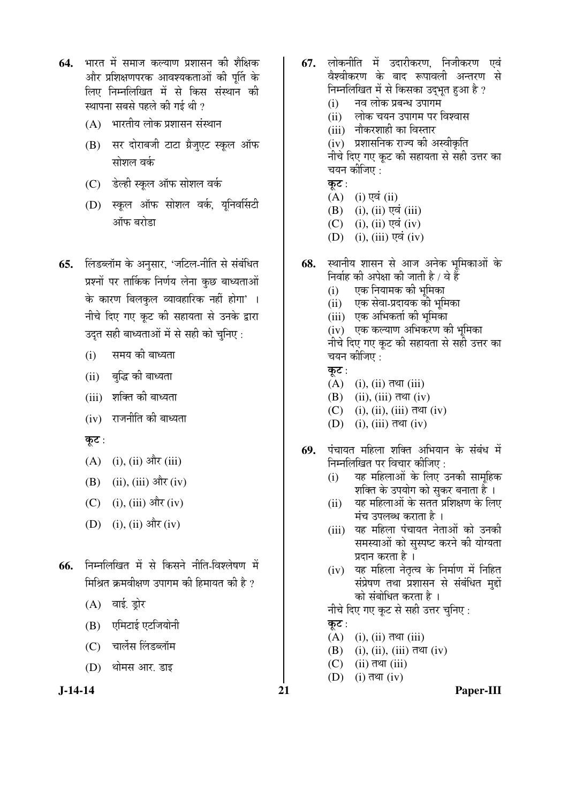- **64.** भारत में समाज कल्याण प्रशासन की शैक्षिक और प्रशिक्षणपरक आवश्यकताओं की पर्ति के लिए निम्नलिखित में से किस संस्थान की स्थापना सबसे पहले की गई थी ?
	- $(A)$  भारतीय लोक प्रशासन संस्थान
	- (B) सर दोराबजी टाटा ग्रैजुएट स्कूल ऑफ सोशल वर्क
	- $(C)$  डेल्ही स्कल ऑफ सोशल वर्क
	- (D) स्कूल ऑफ सोशल वर्क, युनिवर्सिटी ऑफ बरोडा
- **65.** लिंडब्लॉम के अनुसार, 'जटिल-नीति से संबंधित प्रश्नों पर तार्किक निर्णय लेना कुछ बाध्यताओं के कारण बिलकुल व्यावहारिक नहीं होगा' । नीचे दिए गए कूट की सहायता से उनके द्वारा उदत सही बाध्यताओं में से सही को चनिए :
	- (i) समय की बाध्यता
	- (ii) बद्धि की बाध्यता
	- (iii) शक्ति की बाध्यता
	- $(iv)$  राजनीति की बाध्यता
	- कूट :
	- $(A)$  (i), (ii) और (iii)
	- (B) (ii), (iii) और (iv)
	- (C) (i), (iii) और (iv)
	- (D) (i), (ii) और (iv)
- **66.** निम्नलिखित में से किसने नीति-विश्लेषण में मिश्रित क्रमवीक्षण उपागम की हिमायत की है ?
	- $(A)$  वाई. ड्रोर
	- (B) एमिटाई एटजियोनी
	- (C) चार्लेस लिंडब्लॉम
	- (D) थोमस आर. डाइ

- **67.** लोकनीति में उदारीकरण, निजीकरण एवं वेश्वीकरण के बाद रूपावली अन्तरण से निम्नलिखित में से किसका उद्भूत हुआ है ?
	- $(i)$  नव लोक प्रबन्ध उपागम
	- (ii) » लोक चयन उपागम पर विश्वास
	- (iii) नौकरशाही का विस्तार

(iv) प्रशासनिक राज्य की अस्वीकृति नीचे दिए गए कुट की सहायता से सही उत्तर का चयन कीजिए :

- कट $:$
- $(A)$  (i) एवं (ii)
- $(B)$  (i), (ii) एवं (iii)
- $(C)$  (i), (ii) एवं (iv)
- $(D)$  (i), (iii) एवं (iv)
- 68. स्थानीय शासन से आज अनेक भूमिकाओं के निर्वाह की अपेक्षा की जाती है / वे हैं
	- (i) एक नियामक की भूमिका
	- (ii) एक सेवा-प्रदायक की भूमिका
	- (iii) एक अभिकर्ता की भूमिका

(iv) एक कल्याण अभिकरण की भुमिका नीचे दिए गए कूट की सहायता से सही उत्तर का चयन कीजिए :

- कट $:$
- $(A)$  (i), (ii) तथा (iii)
- $(B)$  (ii), (iii)  $\overline{d}$  $\Pi$  (iv)
- $(C)$  (i), (ii), (iii) तथा (iv)
- $(D)$  (i), (iii) तथा (iv)
- **69.** पंचायत महिला शक्ति अभियान के संबंध में निम्नलिखित पर विचार कीजिए :
	- (i) यह महिलाओं के लिए उनकी सामुहिक शक्ति के उपयोग को सुकर बनाता है ।
	- (ii) यह महिलाओं के सतत प्रशिक्षण के लिए मंच उपलब्ध कराता है।
	- (iii) यह महिला पंचायत नेताओं को उनकी समस्याओं को सुस्पष्ट करने की योग्यता प्रदान करता है)।
	- (iv) यह महिला नेतृत्व के निर्माण में निहित संप्रेषण तथा प्रशासन से संबंधित मुद्दों को संबोधित करता है ।

नीचे दिए गए कुट से सही उत्तर चुनिए:

कूट $:$ 

- $(A)$  (i), (ii) तथा (iii)
- $(B)$  (i), (ii), (iii) तथा (iv)
- $(C)$  (ii) तथा (iii)
- $(D)$  (i) तथा (iv)

**J-14-14 21 Paper-III**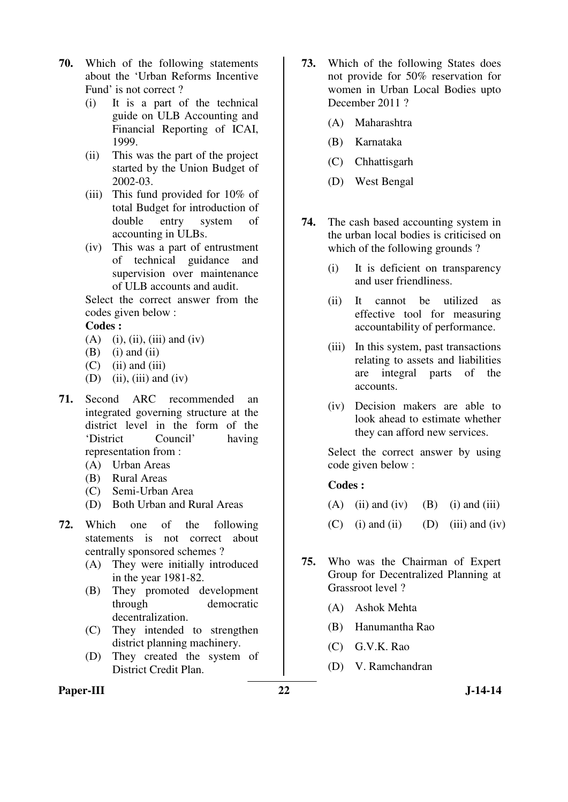- **70.** Which of the following statements about the 'Urban Reforms Incentive Fund' is not correct ?
	- (i) It is a part of the technical guide on ULB Accounting and Financial Reporting of ICAI, 1999.
	- (ii) This was the part of the project started by the Union Budget of 2002-03.
	- (iii) This fund provided for 10% of total Budget for introduction of double entry system of accounting in ULBs.
	- (iv) This was a part of entrustment of technical guidance and supervision over maintenance of ULB accounts and audit.

 Select the correct answer from the codes given below :

#### **Codes :**

- $(A)$  (i), (ii), (iii) and (iv)
- $(B)$  (i) and (ii)
- $(C)$  (ii) and (iii)
- $(D)$  (ii), (iii) and (iv)
- **71.** Second ARC recommended an integrated governing structure at the district level in the form of the 'District Council' having representation from :
	- (A) Urban Areas
	- (B) Rural Areas
	- (C) Semi-Urban Area
	- (D) Both Urban and Rural Areas
- **72.** Which one of the following statements is not correct about centrally sponsored schemes ?
	- (A) They were initially introduced in the year 1981-82.
	- (B) They promoted development through democratic decentralization.
	- (C) They intended to strengthen district planning machinery.
	- (D) They created the system of District Credit Plan.
- **73.** Which of the following States does not provide for 50% reservation for women in Urban Local Bodies upto December 2011 ?
	- (A) Maharashtra
	- (B) Karnataka
	- (C) Chhattisgarh
	- (D) West Bengal
- **74.** The cash based accounting system in the urban local bodies is criticised on which of the following grounds?
	- (i) It is deficient on transparency and user friendliness.
	- (ii) It cannot be utilized as effective tool for measuring accountability of performance.
	- (iii) In this system, past transactions relating to assets and liabilities are integral parts of the accounts.
	- (iv) Decision makers are able to look ahead to estimate whether they can afford new services.

 Select the correct answer by using code given below :

- (A) (ii) and (iv) (B) (i) and (iii)
- $(C)$  (i) and (ii) (D) (iii) and (iv)
- **75.** Who was the Chairman of Expert Group for Decentralized Planning at Grassroot level ?
	- (A) Ashok Mehta
	- (B) Hanumantha Rao
	- (C) G.V.K. Rao
	- (D) V. Ramchandran
- Paper-III 22 J-14-14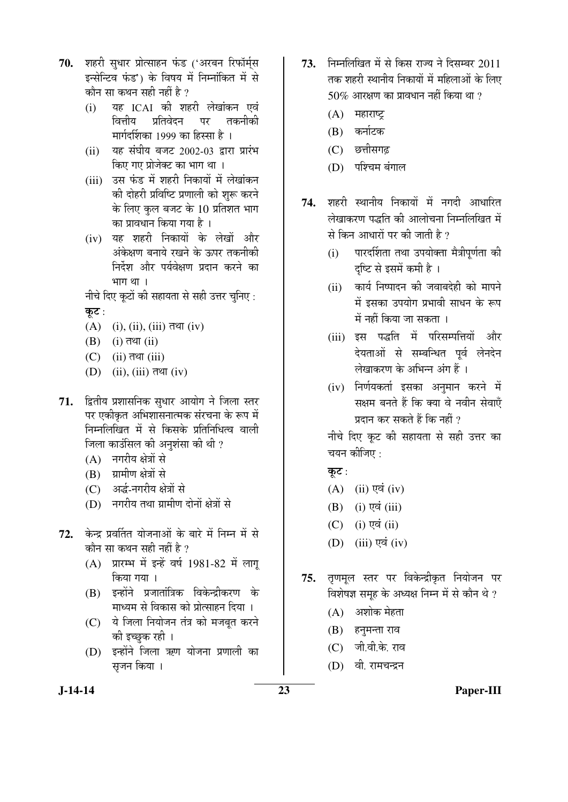- 70. शहरी सधार प्रोत्साहन फंड ('अरबन रिफॉर्मस इन्सेन्टिव फंड') के विषय में निम्नांकित में से कौन सा कथन सही नहीं है ?
	- (i) µÖÆü ICAI Ûúß ¿ÖÆü¸üß »ÖêÜÖÖÓÛú®Ö ‹¾ÖÓ वित्तीय प्रतिवेदन पर ेमार्गदर्शिका 1999 का हिस्सा है)।
	- $(ii)$  यह संघीय बजट 2002-03 द्वारा प्रारंभ किए गए प्रोजेक्ट का भाग था ।
	- (iii) उस फंड में शहरी निकायों में लेखांकन की दोहरी प्रविष्टि प्रणाली को शुरू करने के लिए कुल बजट के 10 प्रतिशत भाग का प्रावधान किया गया है ।
	- $(iv)$  यह शहरी निकायों के लेखों और अंकेक्षण बनाये रखने के ऊपर तकनीकी निर्देश और पर्यवेक्षण प्रदान करने का भाग $\theta$ ।

नीचे दिए कुटों की सहायता से सही उत्तर चुनिए :

कुट:

- $(A)$  (i), (ii), (iii) तथा (iv)
- $(B)$  (i) तथा (ii)
- $(C)$  (ii) तथा (iii)
- $(D)$  (ii), (iii) तथा (iv)
- 71. द्वितीय प्रशासनिक सुधार आयोग ने जिला स्तर पर एकीकृत अभिशासनात्मक संरचना के रूप में निम्नलिखित में से किसके प्रतिनिधित्व वाली जिला काउंसिल की अनुशंसा की थी ?
	- (A) नगरीय क्षेत्रों से
	- (B) ग्रामीण क्षेत्रों से
	- (C) अर्द्ध-नगरीय क्षेत्रों से
	- (D) नगरीय तथा ग्रामीण दोनों क्षेत्रों से
- 72. केन्द्र प्रवर्तित योजनाओं के बारे में निम्न में से कौन सा कथन सही नहीं है ?
	- $(A)$  प्रारम्भ में इन्हें वर्ष 1981-82 में लागू किया गया ।
	- (B) इन्होंने प्रजातांत्रिक विकेन्द्रीकरण के माध्यम से विकास को प्रोत्साहन दिया ।
	- (C) ये जिला नियोजन तंत्र को मजबत करने को इच्छुक रही ।
	- $(D)$  इन्होंने जिला ऋण योजना प्रणाली का सुजन किया ।
- 73. ਜਿਸਗਿਰਿਗ में से किस राज्य ने दिसम्बर 2011 तक शहरी स्थानीय निकायों में महिलाओं के लिए  $50\%$  आरक्षण का प्रावधान नहीं किया था ?
	- $(A)$  महाराष्ट्र
	- (B) कर्नाटक
	- (C) छत्तीसगढ़
	- (D) पश्चिम बंगाल
- **74.** शहरी स्थानीय निकायों में नगदी आधारित लेखाकरण पद्धति की आलोचना निम्नलिखित में से किन आधारों पर की जाती है ?
	- (i) पारदर्शिता तथा उपयोक्ता मैत्रीपूर्णता की दृष्टि से इसमें कमी है ।
	- (ii) कार्य निष्पादन की जवाबदेही को मापने में इसका उपयोग प्रभावी साधन के रूप में नहीं किया जा सकता ।
	- (iii) इस पद्धति में परिसम्पत्तियों और देयताओं से सम्बन्धित पूर्व लेनदेन लेखाकरण के अभिन्न अंग हैं ।
	- (iv) निर्णयकर्ता इसका अनुमान करने में सक्षम बनते हैं कि क्या वे नवीन सेवाएँ प्रदान कर सकते हैं कि नहीं ?

नीचे दिए कूट की सहायता से सही उत्तर का चयन कीजिए $:$ 

कूट :

- $(A)$  (ii) एवं (iv)
- $(B)$  (i) एवं (iii)
- $(C)$  (i) एवं (ii)
- $(D)$  (iii) एवं (iv)
- **75.** तृणमुल स्तर पर विकेन्द्रीकृत नियोजन पर विशेषज्ञ समूह के अध्यक्ष निम्न में से कौन थे ?
	- $(A)$  अशोक मेहता
	- (B) हन्**मन्ता** राव
	- $(C)$  जी.वी.के. राव
	- (D) वी रामचन्द्रन

**J-14-14 23 Paper-III**